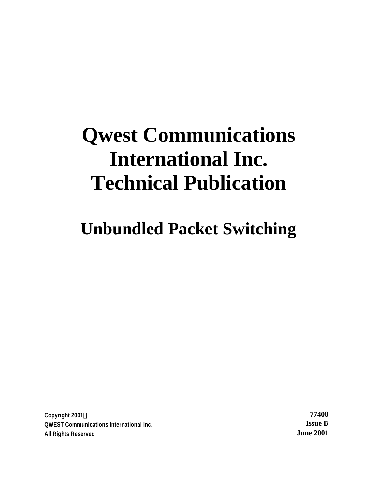# **Qwest Communications International Inc. Technical Publication**

**Unbundled Packet Switching**

**Copyright 2001Ó 77408 QWEST Communications International Inc. Issue B All Rights Reserved June 2001**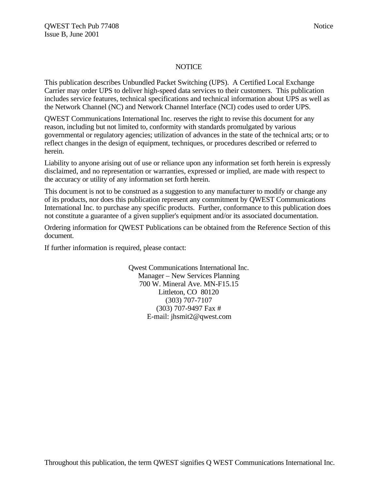#### NOTICE

This publication describes Unbundled Packet Switching (UPS). A Certified Local Exchange Carrier may order UPS to deliver high-speed data services to their customers. This publication includes service features, technical specifications and technical information about UPS as well as the Network Channel (NC) and Network Channel Interface (NCI) codes used to order UPS.

QWEST Communications International Inc. reserves the right to revise this document for any reason, including but not limited to, conformity with standards promulgated by various governmental or regulatory agencies; utilization of advances in the state of the technical arts; or to reflect changes in the design of equipment, techniques, or procedures described or referred to herein.

Liability to anyone arising out of use or reliance upon any information set forth herein is expressly disclaimed, and no representation or warranties, expressed or implied, are made with respect to the accuracy or utility of any information set forth herein.

This document is not to be construed as a suggestion to any manufacturer to modify or change any of its products, nor does this publication represent any commitment by QWEST Communications International Inc. to purchase any specific products. Further, conformance to this publication does not constitute a guarantee of a given supplier's equipment and/or its associated documentation.

Ordering information for QWEST Publications can be obtained from the Reference Section of this document.

If further information is required, please contact:

Qwest Communications International Inc. Manager – New Services Planning 700 W. Mineral Ave. MN-F15.15 Littleton, CO 80120 (303) 707-7107 (303) 707-9497 Fax # E-mail: jhsmit2@qwest.com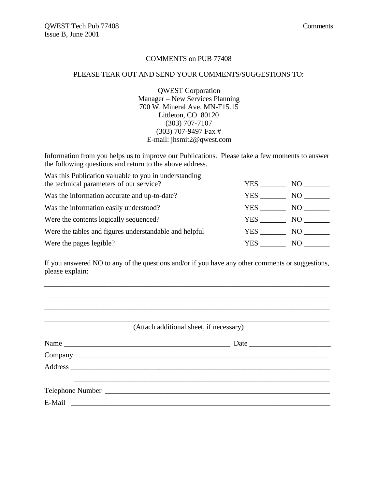#### COMMENTS on PUB 77408

#### PLEASE TEAR OUT AND SEND YOUR COMMENTS/SUGGESTIONS TO:

QWEST Corporation Manager – New Services Planning 700 W. Mineral Ave. MN-F15.15 Littleton, CO 80120 (303) 707-7107 (303) 707-9497 Fax # E-mail: jhsmit2@qwest.com

Information from you helps us to improve our Publications. Please take a few moments to answer the following questions and return to the above address.

| Was this Publication valuable to you in understanding  |      |     |
|--------------------------------------------------------|------|-----|
| the technical parameters of our service?               | YES. | NO. |
| Was the information accurate and up-to-date?           | YES. | NO. |
| Was the information easily understood?                 | YES. | NO. |
| Were the contents logically sequenced?                 | YES  | NO. |
| Were the tables and figures understandable and helpful | YES  | NO  |
| Were the pages legible?                                | YES. | NO. |

If you answered NO to any of the questions and/or if you have any other comments or suggestions, please explain:

\_\_\_\_\_\_\_\_\_\_\_\_\_\_\_\_\_\_\_\_\_\_\_\_\_\_\_\_\_\_\_\_\_\_\_\_\_\_\_\_\_\_\_\_\_\_\_\_\_\_\_\_\_\_\_\_\_\_\_\_\_\_\_\_\_\_\_\_\_\_\_\_\_\_\_\_\_ \_\_\_\_\_\_\_\_\_\_\_\_\_\_\_\_\_\_\_\_\_\_\_\_\_\_\_\_\_\_\_\_\_\_\_\_\_\_\_\_\_\_\_\_\_\_\_\_\_\_\_\_\_\_\_\_\_\_\_\_\_\_\_\_\_\_\_\_\_\_\_\_\_\_\_\_\_ \_\_\_\_\_\_\_\_\_\_\_\_\_\_\_\_\_\_\_\_\_\_\_\_\_\_\_\_\_\_\_\_\_\_\_\_\_\_\_\_\_\_\_\_\_\_\_\_\_\_\_\_\_\_\_\_\_\_\_\_\_\_\_\_\_\_\_\_\_\_\_\_\_\_\_\_\_

\_\_\_\_\_\_\_\_\_\_\_\_\_\_\_\_\_\_\_\_\_\_\_\_\_\_\_\_\_\_\_\_\_\_\_\_\_\_\_\_\_\_\_\_\_\_\_\_\_\_\_\_\_\_\_\_\_\_\_\_\_\_\_\_\_\_\_\_\_\_\_\_\_\_\_\_\_ (Attach additional sheet, if necessary)

| Name                                                      | Date |
|-----------------------------------------------------------|------|
|                                                           |      |
|                                                           |      |
|                                                           |      |
|                                                           |      |
| E-Mail<br><u> 1989 - Andrea Amerikaanse kommunister (</u> |      |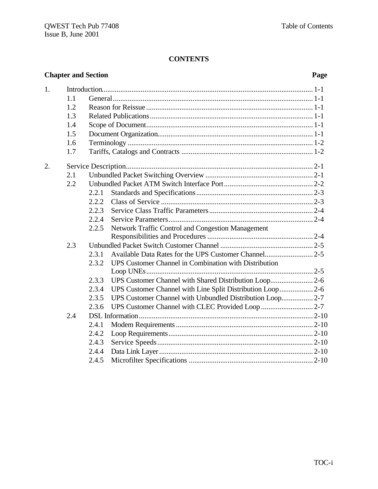# **CONTENTS**

| <b>Chapter and Section</b> |                                               |                                                    |                                                                                                                                                                                                                                            | Page |
|----------------------------|-----------------------------------------------|----------------------------------------------------|--------------------------------------------------------------------------------------------------------------------------------------------------------------------------------------------------------------------------------------------|------|
| 1.                         | 1.1<br>1.2<br>1.3<br>1.4<br>1.5<br>1.6<br>1.7 |                                                    |                                                                                                                                                                                                                                            |      |
| 2.                         | 2.1<br>2.2<br>2.3                             | 2.2.1<br>2.2.2<br>2.2.3<br>2.2.4<br>2.2.5          | Network Traffic Control and Congestion Management                                                                                                                                                                                          |      |
|                            | 2.4                                           | 2.3.1<br>2.3.2<br>2.3.3<br>2.3.4<br>2.3.5<br>2.3.6 | UPS Customer Channel in Combination with Distribution<br>UPS Customer Channel with Shared Distribution Loop 2-6<br>UPS Customer Channel with Line Split Distribution Loop 2-6<br>UPS Customer Channel with Unbundled Distribution Loop 2-7 |      |
|                            |                                               | 2.4.1<br>2.4.2<br>2.4.3<br>2.4.4<br>2.4.5          |                                                                                                                                                                                                                                            |      |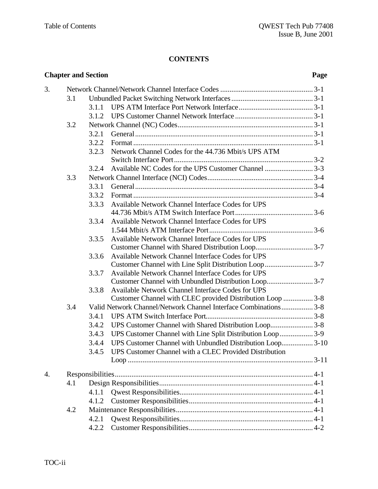# **CONTENTS**

| <b>Chapter and Section</b> |     |       | Page                                                                                                       |  |
|----------------------------|-----|-------|------------------------------------------------------------------------------------------------------------|--|
| 3.                         |     |       |                                                                                                            |  |
|                            | 3.1 |       |                                                                                                            |  |
|                            |     | 3.1.1 |                                                                                                            |  |
|                            |     | 3.1.2 |                                                                                                            |  |
|                            | 3.2 |       |                                                                                                            |  |
|                            |     | 3.2.1 |                                                                                                            |  |
|                            |     | 3.2.2 |                                                                                                            |  |
|                            |     | 3.2.3 | Network Channel Codes for the 44.736 Mbit/s UPS ATM                                                        |  |
|                            |     |       |                                                                                                            |  |
|                            |     | 3.2.4 |                                                                                                            |  |
|                            | 3.3 |       |                                                                                                            |  |
|                            |     | 3.3.1 |                                                                                                            |  |
|                            |     | 3.3.2 |                                                                                                            |  |
|                            |     | 3.3.3 | <b>Available Network Channel Interface Codes for UPS</b>                                                   |  |
|                            |     |       |                                                                                                            |  |
|                            |     | 3.3.4 | Available Network Channel Interface Codes for UPS                                                          |  |
|                            |     |       |                                                                                                            |  |
|                            |     | 3.3.5 | Available Network Channel Interface Codes for UPS                                                          |  |
|                            |     |       |                                                                                                            |  |
|                            |     | 3.3.6 | Available Network Channel Interface Codes for UPS<br>Customer Channel with Line Split Distribution Loop3-7 |  |
|                            |     | 3.3.7 | Available Network Channel Interface Codes for UPS                                                          |  |
|                            |     |       | Customer Channel with Unbundled Distribution Loop3-7                                                       |  |
|                            |     | 3.3.8 | Available Network Channel Interface Codes for UPS                                                          |  |
|                            |     |       | Customer Channel with CLEC provided Distribution Loop  3-8                                                 |  |
|                            | 3.4 |       | Valid Network Channel/Network Channel Interface Combinations3-8                                            |  |
|                            |     | 3.4.1 |                                                                                                            |  |
|                            |     | 3.4.2 | UPS Customer Channel with Shared Distribution Loop3-8                                                      |  |
|                            |     | 3.4.3 | UPS Customer Channel with Line Split Distribution Loop 3-9                                                 |  |
|                            |     | 3.4.4 | UPS Customer Channel with Unbundled Distribution Loop 3-10                                                 |  |
|                            |     | 3.4.5 | UPS Customer Channel with a CLEC Provided Distribution                                                     |  |
|                            |     |       |                                                                                                            |  |
| 4.                         |     |       |                                                                                                            |  |
|                            | 4.1 |       |                                                                                                            |  |
|                            |     | 4.1.1 |                                                                                                            |  |
|                            |     |       |                                                                                                            |  |
|                            | 4.2 | 4.1.2 |                                                                                                            |  |
|                            |     |       |                                                                                                            |  |
|                            |     | 4.2.1 |                                                                                                            |  |
|                            |     | 4.2.2 |                                                                                                            |  |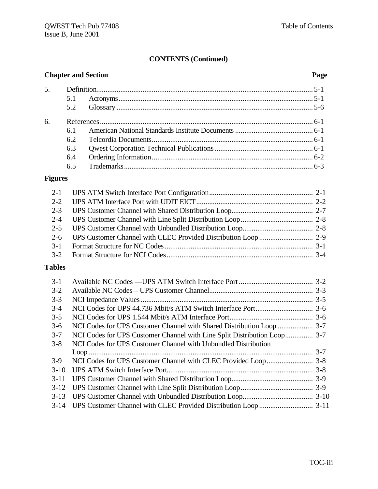# **CONTENTS (Continued)**

| <b>Chapter and Section</b>    |     |  | Page |
|-------------------------------|-----|--|------|
| 5.                            |     |  |      |
|                               | 5.1 |  |      |
|                               | 5.2 |  |      |
| б.                            |     |  |      |
|                               | 6.1 |  |      |
|                               | 6.2 |  |      |
|                               | 6.3 |  |      |
|                               | 6.4 |  |      |
|                               | 6.5 |  |      |
| $\mathbf{E}$ <sub>curre</sub> |     |  |      |

#### **Figures**

# **Tables**

| $3-1$    |                                                                |  |
|----------|----------------------------------------------------------------|--|
| $3 - 2$  |                                                                |  |
| $3 - 3$  |                                                                |  |
| $3-4$    |                                                                |  |
| $3 - 5$  |                                                                |  |
| $3-6$    |                                                                |  |
| $3 - 7$  |                                                                |  |
| $3 - 8$  | NCI Codes for UPS Customer Channel with Unbundled Distribution |  |
|          |                                                                |  |
| $3-9$    |                                                                |  |
| $3-10$   |                                                                |  |
| $3 - 11$ |                                                                |  |
| $3-12$   |                                                                |  |
| $3-13$   |                                                                |  |
|          |                                                                |  |
|          |                                                                |  |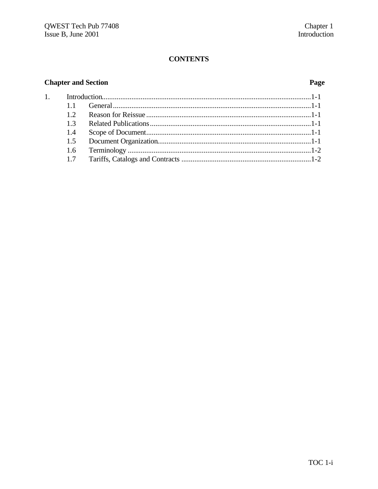# **CONTENTS**

# **Chapter and Section**

 $\overline{1}$ .

# Page

| 12  |  |
|-----|--|
|     |  |
| 1.4 |  |
|     |  |
|     |  |
|     |  |
|     |  |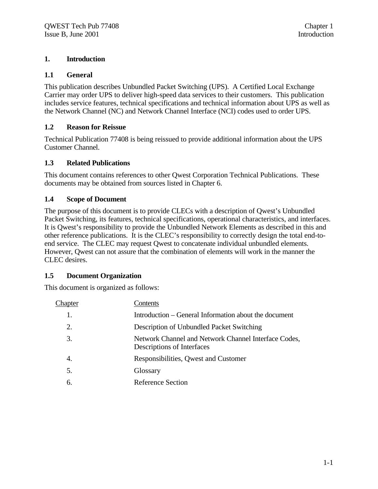# **1. Introduction**

# **1.1 General**

This publication describes Unbundled Packet Switching (UPS). A Certified Local Exchange Carrier may order UPS to deliver high-speed data services to their customers. This publication includes service features, technical specifications and technical information about UPS as well as the Network Channel (NC) and Network Channel Interface (NCI) codes used to order UPS.

# **1.2 Reason for Reissue**

Technical Publication 77408 is being reissued to provide additional information about the UPS Customer Channel.

# **1.3 Related Publications**

This document contains references to other Qwest Corporation Technical Publications. These documents may be obtained from sources listed in Chapter 6.

# **1.4 Scope of Document**

The purpose of this document is to provide CLECs with a description of Qwest's Unbundled Packet Switching, its features, technical specifications, operational characteristics, and interfaces. It is Qwest's responsibility to provide the Unbundled Network Elements as described in this and other reference publications. It is the CLEC's responsibility to correctly design the total end-toend service. The CLEC may request Qwest to concatenate individual unbundled elements. However, Qwest can not assure that the combination of elements will work in the manner the CLEC desires.

### **1.5 Document Organization**

This document is organized as follows:

| Chapter | Contents                                                                           |
|---------|------------------------------------------------------------------------------------|
| 1.      | Introduction – General Information about the document                              |
| 2.      | Description of Unbundled Packet Switching                                          |
| 3.      | Network Channel and Network Channel Interface Codes,<br>Descriptions of Interfaces |
| 4.      | Responsibilities, Qwest and Customer                                               |
| 5.      | Glossary                                                                           |
| 6.      | <b>Reference Section</b>                                                           |
|         |                                                                                    |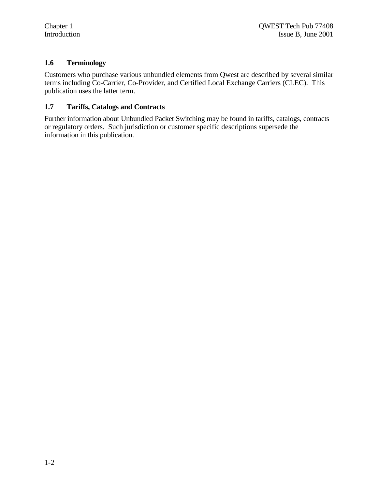### **1.6 Terminology**

Customers who purchase various unbundled elements from Qwest are described by several similar terms including Co-Carrier, Co-Provider, and Certified Local Exchange Carriers (CLEC). This publication uses the latter term.

#### **1.7 Tariffs, Catalogs and Contracts**

Further information about Unbundled Packet Switching may be found in tariffs, catalogs, contracts or regulatory orders. Such jurisdiction or customer specific descriptions supersede the information in this publication.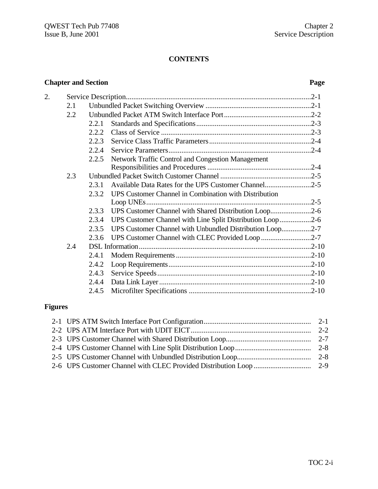# **CONTENTS**

# **Chapter and Section Page**

| 2. |     |       |                                                           |  |
|----|-----|-------|-----------------------------------------------------------|--|
|    | 2.1 |       |                                                           |  |
|    | 2.2 |       |                                                           |  |
|    |     | 2.2.1 |                                                           |  |
|    |     | 2.2.2 |                                                           |  |
|    |     | 2.2.3 |                                                           |  |
|    |     | 2.2.4 |                                                           |  |
|    |     | 2.2.5 | Network Traffic Control and Congestion Management         |  |
|    |     |       |                                                           |  |
|    | 2.3 |       |                                                           |  |
|    |     | 2.3.1 | Available Data Rates for the UPS Customer Channel2-5      |  |
|    |     | 2.3.2 | UPS Customer Channel in Combination with Distribution     |  |
|    |     |       |                                                           |  |
|    |     | 2.3.3 | UPS Customer Channel with Shared Distribution Loop2-6     |  |
|    |     | 2.3.4 | UPS Customer Channel with Line Split Distribution Loop2-6 |  |
|    |     | 2.3.5 | UPS Customer Channel with Unbundled Distribution Loop2-7  |  |
|    |     | 2.3.6 | UPS Customer Channel with CLEC Provided Loop 2-7          |  |
|    | 2.4 |       |                                                           |  |
|    |     | 2.4.1 |                                                           |  |
|    |     | 2.4.2 |                                                           |  |
|    |     | 2.4.3 |                                                           |  |
|    |     | 2.4.4 |                                                           |  |
|    |     | 2.4.5 |                                                           |  |

# **Figures**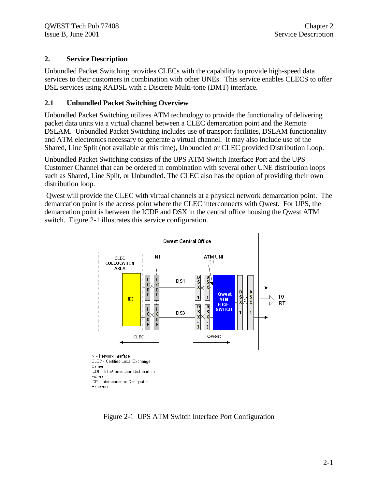# **2. Service Description**

Unbundled Packet Switching provides CLECs with the capability to provide high-speed data services to their customers in combination with other UNEs. This service enables CLECS to offer DSL services using RADSL with a Discrete Multi-tone (DMT) interface.

# **2.1 Unbundled Packet Switching Overview**

Unbundled Packet Switching utilizes ATM technology to provide the functionality of delivering packet data units via a virtual channel between a CLEC demarcation point and the Remote DSLAM. Unbundled Packet Switching includes use of transport facilities, DSLAM functionality and ATM electronics necessary to generate a virtual channel. It may also include use of the Shared, Line Split (not available at this time), Unbundled or CLEC provided Distribution Loop.

Unbundled Packet Switching consists of the UPS ATM Switch Interface Port and the UPS Customer Channel that can be ordered in combination with several other UNE distribution loops such as Shared, Line Split, or Unbundled. The CLEC also has the option of providing their own distribution loop.

 Qwest will provide the CLEC with virtual channels at a physical network demarcation point. The demarcation point is the access point where the CLEC interconnects with Qwest. For UPS, the demarcation point is between the ICDF and DSX in the central office housing the Qwest ATM switch. Figure 2-1 illustrates this service configuration.



Carrier ICDF - InterConnection Distriburtion Frame IDE - Interconnector Designated Equipment

Figure 2-1 UPS ATM Switch Interface Port Configuration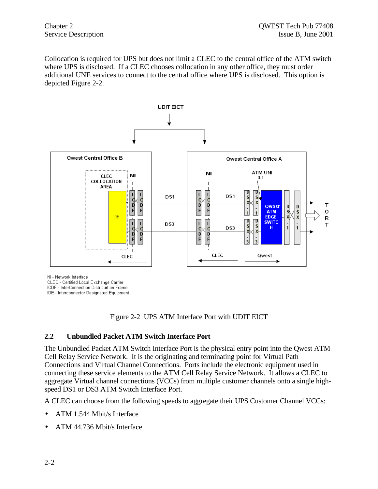Collocation is required for UPS but does not limit a CLEC to the central office of the ATM switch where UPS is disclosed. If a CLEC chooses collocation in any other office, they must order additional UNE services to connect to the central office where UPS is disclosed. This option is depicted Figure 2-2.



NI - Network Interface

CLEC - Certified Local Exchange Carrier

ICDF - InterConnection Distriburtion Frame

IDE - Interconnector Designated Equipment



#### **2.2 Unbundled Packet ATM Switch Interface Port**

The Unbundled Packet ATM Switch Interface Port is the physical entry point into the Qwest ATM Cell Relay Service Network. It is the originating and terminating point for Virtual Path Connections and Virtual Channel Connections. Ports include the electronic equipment used in connecting these service elements to the ATM Cell Relay Service Network. It allows a CLEC to aggregate Virtual channel connections (VCCs) from multiple customer channels onto a single highspeed DS1 or DS3 ATM Switch Interface Port.

A CLEC can choose from the following speeds to aggregate their UPS Customer Channel VCCs:

- ATM 1.544 Mbit/s Interface
- ATM 44.736 Mbit/s Interface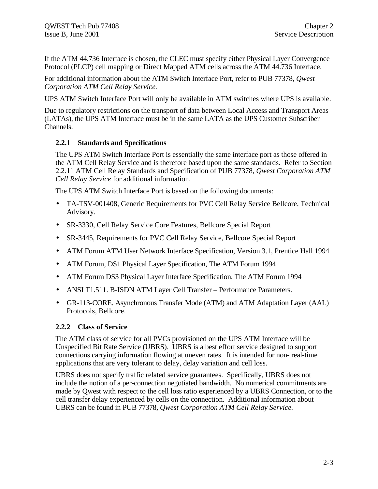If the ATM 44.736 Interface is chosen, the CLEC must specify either Physical Layer Convergence Protocol (PLCP) cell mapping or Direct Mapped ATM cells across the ATM 44.736 Interface.

For additional information about the ATM Switch Interface Port, refer to PUB 77378, *Qwest Corporation ATM Cell Relay Service.*

UPS ATM Switch Interface Port will only be available in ATM switches where UPS is available.

Due to regulatory restrictions on the transport of data between Local Access and Transport Areas (LATAs), the UPS ATM Interface must be in the same LATA as the UPS Customer Subscriber Channels.

# **2.2.1 Standards and Specifications**

The UPS ATM Switch Interface Port is essentially the same interface port as those offered in the ATM Cell Relay Service and is therefore based upon the same standards. Refer to Section 2.2.11 ATM Cell Relay Standards and Specification of PUB 77378, *Qwest Corporation ATM Cell Relay Service* for additional information*.*

The UPS ATM Switch Interface Port is based on the following documents:

- TA-TSV-001408, Generic Requirements for PVC Cell Relay Service Bellcore, Technical Advisory.
- SR-3330, Cell Relay Service Core Features, Bellcore Special Report
- SR-3445, Requirements for PVC Cell Relay Service, Bellcore Special Report
- ATM Forum ATM User Network Interface Specification, Version 3.1, Prentice Hall 1994
- ATM Forum, DS1 Physical Layer Specification, The ATM Forum 1994
- ATM Forum DS3 Physical Layer Interface Specification, The ATM Forum 1994
- ANSI T1.511. B-ISDN ATM Layer Cell Transfer Performance Parameters.
- GR-113-CORE. Asynchronous Transfer Mode (ATM) and ATM Adaptation Layer (AAL) Protocols, Bellcore.

### **2.2.2 Class of Service**

The ATM class of service for all PVCs provisioned on the UPS ATM Interface will be Unspecified Bit Rate Service (UBRS). UBRS is a best effort service designed to support connections carrying information flowing at uneven rates. It is intended for non- real-time applications that are very tolerant to delay, delay variation and cell loss.

UBRS does not specify traffic related service guarantees. Specifically, UBRS does not include the notion of a per-connection negotiated bandwidth. No numerical commitments are made by Qwest with respect to the cell loss ratio experienced by a UBRS Connection, or to the cell transfer delay experienced by cells on the connection. Additional information about UBRS can be found in PUB 77378, *Qwest Corporation ATM Cell Relay Service.*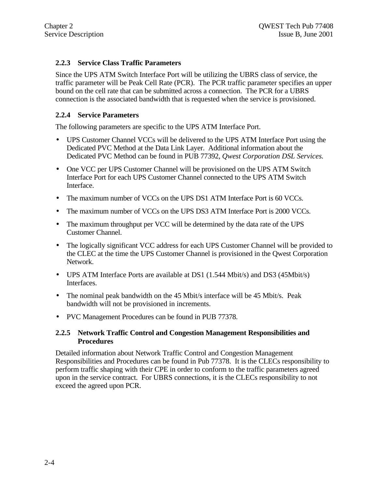### **2.2.3 Service Class Traffic Parameters**

Since the UPS ATM Switch Interface Port will be utilizing the UBRS class of service, the traffic parameter will be Peak Cell Rate (PCR). The PCR traffic parameter specifies an upper bound on the cell rate that can be submitted across a connection. The PCR for a UBRS connection is the associated bandwidth that is requested when the service is provisioned.

#### **2.2.4 Service Parameters**

The following parameters are specific to the UPS ATM Interface Port.

- UPS Customer Channel VCCs will be delivered to the UPS ATM Interface Port using the Dedicated PVC Method at the Data Link Layer. Additional information about the Dedicated PVC Method can be found in PUB 77392, *Qwest Corporation DSL Services.*
- One VCC per UPS Customer Channel will be provisioned on the UPS ATM Switch Interface Port for each UPS Customer Channel connected to the UPS ATM Switch Interface.
- The maximum number of VCCs on the UPS DS1 ATM Interface Port is 60 VCCs.
- The maximum number of VCCs on the UPS DS3 ATM Interface Port is 2000 VCCs.
- The maximum throughput per VCC will be determined by the data rate of the UPS Customer Channel.
- The logically significant VCC address for each UPS Customer Channel will be provided to the CLEC at the time the UPS Customer Channel is provisioned in the Qwest Corporation Network.
- UPS ATM Interface Ports are available at DS1 (1.544 Mbit/s) and DS3 (45Mbit/s) Interfaces.
- The nominal peak bandwidth on the 45 Mbit/s interface will be 45 Mbit/s. Peak bandwidth will not be provisioned in increments.
- PVC Management Procedures can be found in PUB 77378.

#### **2.2.5 Network Traffic Control and Congestion Management Responsibilities and Procedures**

Detailed information about Network Traffic Control and Congestion Management Responsibilities and Procedures can be found in Pub 77378. It is the CLECs responsibility to perform traffic shaping with their CPE in order to conform to the traffic parameters agreed upon in the service contract. For UBRS connections, it is the CLECs responsibility to not exceed the agreed upon PCR.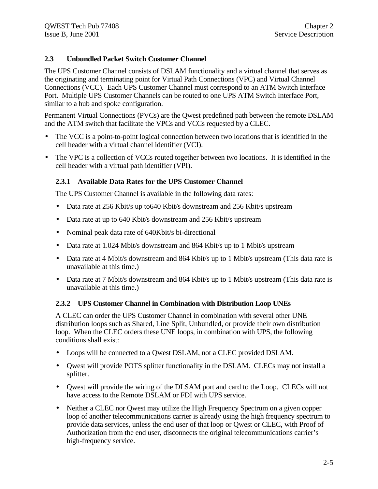# **2.3 Unbundled Packet Switch Customer Channel**

The UPS Customer Channel consists of DSLAM functionality and a virtual channel that serves as the originating and terminating point for Virtual Path Connections (VPC) and Virtual Channel Connections (VCC). Each UPS Customer Channel must correspond to an ATM Switch Interface Port. Multiple UPS Customer Channels can be routed to one UPS ATM Switch Interface Port, similar to a hub and spoke configuration.

Permanent Virtual Connections (PVCs) are the Qwest predefined path between the remote DSLAM and the ATM switch that facilitate the VPCs and VCCs requested by a CLEC.

- The VCC is a point-to-point logical connection between two locations that is identified in the cell header with a virtual channel identifier (VCI).
- The VPC is a collection of VCCs routed together between two locations. It is identified in the cell header with a virtual path identifier (VPI).

### **2.3.1 Available Data Rates for the UPS Customer Channel**

The UPS Customer Channel is available in the following data rates:

- Data rate at 256 Kbit/s up to 640 Kbit/s downstream and 256 Kbit/s upstream
- Data rate at up to 640 Kbit/s downstream and 256 Kbit/s upstream
- Nominal peak data rate of 640Kbit/s bi-directional
- Data rate at 1.024 Mbit/s downstream and 864 Kbit/s up to 1 Mbit/s upstream
- Data rate at 4 Mbit/s downstream and 864 Kbit/s up to 1 Mbit/s upstream (This data rate is unavailable at this time.)
- Data rate at 7 Mbit/s downstream and 864 Kbit/s up to 1 Mbit/s upstream (This data rate is unavailable at this time.)

### **2.3.2 UPS Customer Channel in Combination with Distribution Loop UNEs**

A CLEC can order the UPS Customer Channel in combination with several other UNE distribution loops such as Shared, Line Split, Unbundled, or provide their own distribution loop. When the CLEC orders these UNE loops, in combination with UPS, the following conditions shall exist:

- Loops will be connected to a Qwest DSLAM, not a CLEC provided DSLAM.
- Qwest will provide POTS splitter functionality in the DSLAM. CLECs may not install a splitter.
- Qwest will provide the wiring of the DLSAM port and card to the Loop. CLECs will not have access to the Remote DSLAM or FDI with UPS service.
- Neither a CLEC nor Owest may utilize the High Frequency Spectrum on a given copper loop of another telecommunications carrier is already using the high frequency spectrum to provide data services, unless the end user of that loop or Qwest or CLEC, with Proof of Authorization from the end user, disconnects the original telecommunications carrier's high-frequency service.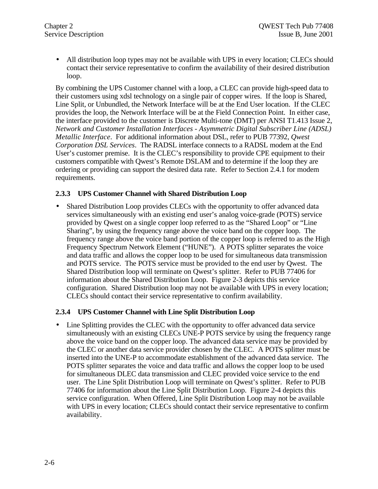• All distribution loop types may not be available with UPS in every location; CLECs should contact their service representative to confirm the availability of their desired distribution loop.

By combining the UPS Customer channel with a loop, a CLEC can provide high-speed data to their customers using xdsl technology on a single pair of copper wires. If the loop is Shared, Line Split, or Unbundled, the Network Interface will be at the End User location. If the CLEC provides the loop, the Network Interface will be at the Field Connection Point. In either case, the interface provided to the customer is Discrete Multi-tone (DMT) per ANSI T1.413 Issue 2, *Network and Customer Installation Interfaces - Asymmetric Digital Subscriber Line (ADSL) Metallic Interface*. For additional information about DSL, refer to PUB 77392, *Qwest Corporation DSL Services*. The RADSL interface connects to a RADSL modem at the End User's customer premise. It is the CLEC's responsibility to provide CPE equipment to their customers compatible with Qwest's Remote DSLAM and to determine if the loop they are ordering or providing can support the desired data rate. Refer to Section 2.4.1 for modem requirements.

#### **2.3.3 UPS Customer Channel with Shared Distribution Loop**

• Shared Distribution Loop provides CLECs with the opportunity to offer advanced data services simultaneously with an existing end user's analog voice-grade (POTS) service provided by Qwest on a single copper loop referred to as the "Shared Loop" or "Line Sharing", by using the frequency range above the voice band on the copper loop. The frequency range above the voice band portion of the copper loop is referred to as the High Frequency Spectrum Network Element ("HUNE"). A POTS splitter separates the voice and data traffic and allows the copper loop to be used for simultaneous data transmission and POTS service. The POTS service must be provided to the end user by Qwest. The Shared Distribution loop will terminate on Qwest's splitter. Refer to PUB 77406 for information about the Shared Distribution Loop. Figure 2-3 depicts this service configuration. Shared Distribution loop may not be available with UPS in every location; CLECs should contact their service representative to confirm availability.

#### **2.3.4 UPS Customer Channel with Line Split Distribution Loop**

• Line Splitting provides the CLEC with the opportunity to offer advanced data service simultaneously with an existing CLECs UNE-P POTS service by using the frequency range above the voice band on the copper loop. The advanced data service may be provided by the CLEC or another data service provider chosen by the CLEC. A POTS splitter must be inserted into the UNE-P to accommodate establishment of the advanced data service. The POTS splitter separates the voice and data traffic and allows the copper loop to be used for simultaneous DLEC data transmission and CLEC provided voice service to the end user. The Line Split Distribution Loop will terminate on Qwest's splitter. Refer to PUB 77406 for information about the Line Split Distribution Loop. Figure 2-4 depicts this service configuration. When Offered, Line Split Distribution Loop may not be available with UPS in every location; CLECs should contact their service representative to confirm availability.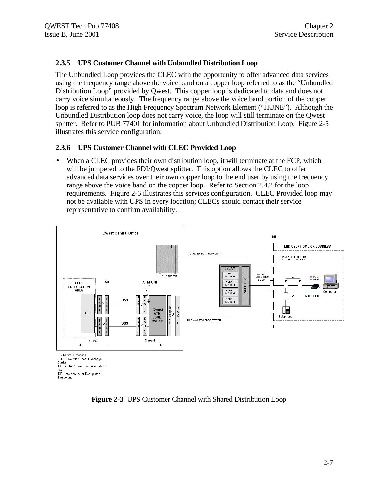#### **2.3.5 UPS Customer Channel with Unbundled Distribution Loop**

The Unbundled Loop provides the CLEC with the opportunity to offer advanced data services using the frequency range above the voice band on a copper loop referred to as the "Unbundled Distribution Loop" provided by Qwest. This copper loop is dedicated to data and does not carry voice simultaneously. The frequency range above the voice band portion of the copper loop is referred to as the High Frequency Spectrum Network Element ("HUNE"). Although the Unbundled Distribution loop does not carry voice, the loop will still terminate on the Qwest splitter. Refer to PUB 77401 for information about Unbundled Distribution Loop. Figure 2-5 illustrates this service configuration.

#### **2.3.6 UPS Customer Channel with CLEC Provided Loop**

• When a CLEC provides their own distribution loop, it will terminate at the FCP, which will be jumpered to the FDI/Qwest splitter. This option allows the CLEC to offer advanced data services over their own copper loop to the end user by using the frequency range above the voice band on the copper loop. Refer to Section 2.4.2 for the loop requirements. Figure 2-6 illustrates this services configuration. CLEC Provided loop may not be available with UPS in every location; CLECs should contact their service representative to confirm availability.



**Figure 2-3** UPS Customer Channel with Shared Distribution Loop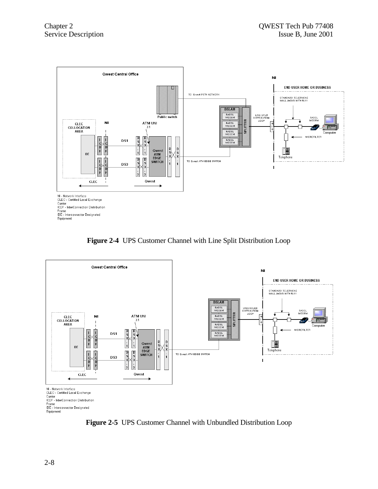

**Figure 2-4** UPS Customer Channel with Line Split Distribution Loop



**Figure 2-5** UPS Customer Channel with Unbundled Distribution Loop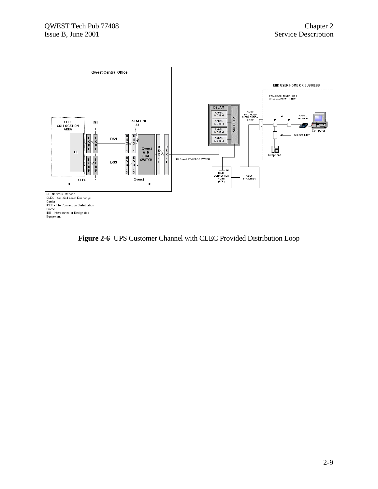

**Figure 2-6** UPS Customer Channel with CLEC Provided Distribution Loop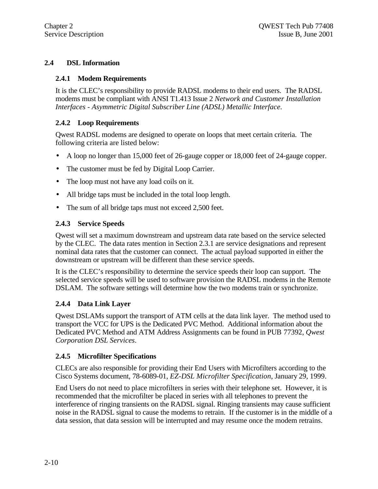# **2.4 DSL Information**

#### **2.4.1 Modem Requirements**

It is the CLEC's responsibility to provide RADSL modems to their end users. The RADSL modems must be compliant with ANSI T1.413 Issue 2 *Network and Customer Installation Interfaces - Asymmetric Digital Subscriber Line (ADSL) Metallic Interface*.

# **2.4.2 Loop Requirements**

Qwest RADSL modems are designed to operate on loops that meet certain criteria. The following criteria are listed below:

- A loop no longer than 15,000 feet of 26-gauge copper or 18,000 feet of 24-gauge copper.
- The customer must be fed by Digital Loop Carrier.
- The loop must not have any load coils on it.
- All bridge taps must be included in the total loop length.
- The sum of all bridge taps must not exceed 2,500 feet.

# **2.4.3 Service Speeds**

Qwest will set a maximum downstream and upstream data rate based on the service selected by the CLEC. The data rates mention in Section 2.3.1 are service designations and represent nominal data rates that the customer can connect. The actual payload supported in either the downstream or upstream will be different than these service speeds.

It is the CLEC's responsibility to determine the service speeds their loop can support. The selected service speeds will be used to software provision the RADSL modems in the Remote DSLAM. The software settings will determine how the two modems train or synchronize.

### **2.4.4 Data Link Layer**

Qwest DSLAMs support the transport of ATM cells at the data link layer. The method used to transport the VCC for UPS is the Dedicated PVC Method. Additional information about the Dedicated PVC Method and ATM Address Assignments can be found in PUB 77392, *Qwest Corporation DSL Services*.

### **2.4.5 Microfilter Specifications**

CLECs are also responsible for providing their End Users with Microfilters according to the Cisco Systems document, 78-6089-01, *EZ-DSL Microfilter Specification*, January 29, 1999.

End Users do not need to place microfilters in series with their telephone set. However, it is recommended that the microfilter be placed in series with all telephones to prevent the interference of ringing transients on the RADSL signal. Ringing transients may cause sufficient noise in the RADSL signal to cause the modems to retrain. If the customer is in the middle of a data session, that data session will be interrupted and may resume once the modem retrains.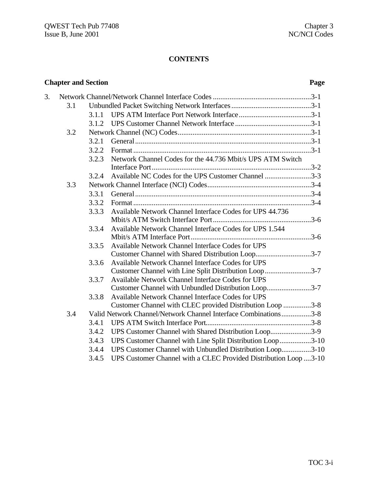# **CONTENTS**

|    | <b>Chapter and Section</b> |       | Page                                                             |  |
|----|----------------------------|-------|------------------------------------------------------------------|--|
| 3. |                            |       |                                                                  |  |
|    | 3.1                        |       |                                                                  |  |
|    |                            | 3.1.1 |                                                                  |  |
|    |                            | 3.1.2 |                                                                  |  |
|    | 3.2                        |       |                                                                  |  |
|    |                            | 3.2.1 |                                                                  |  |
|    |                            | 3.2.2 |                                                                  |  |
|    |                            | 3.2.3 | Network Channel Codes for the 44.736 Mbit/s UPS ATM Switch       |  |
|    |                            |       |                                                                  |  |
|    |                            | 3.2.4 | Available NC Codes for the UPS Customer Channel 3-3              |  |
|    | 3.3                        |       |                                                                  |  |
|    |                            | 3.3.1 |                                                                  |  |
|    |                            | 3.3.2 |                                                                  |  |
|    |                            | 3.3.3 | Available Network Channel Interface Codes for UPS 44.736         |  |
|    |                            |       |                                                                  |  |
|    |                            | 3.3.4 | Available Network Channel Interface Codes for UPS 1.544          |  |
|    |                            |       |                                                                  |  |
|    |                            | 3.3.5 | Available Network Channel Interface Codes for UPS                |  |
|    |                            |       | Customer Channel with Shared Distribution Loop3-7                |  |
|    |                            | 3.3.6 | Available Network Channel Interface Codes for UPS                |  |
|    |                            |       | Customer Channel with Line Split Distribution Loop3-7            |  |
|    |                            | 3.3.7 | Available Network Channel Interface Codes for UPS                |  |
|    |                            |       | Customer Channel with Unbundled Distribution Loop3-7             |  |
|    |                            | 3.3.8 | Available Network Channel Interface Codes for UPS                |  |
|    |                            |       | Customer Channel with CLEC provided Distribution Loop 3-8        |  |
|    | 3.4                        |       | Valid Network Channel/Network Channel Interface Combinations3-8  |  |
|    |                            | 3.4.1 |                                                                  |  |
|    |                            | 3.4.2 | UPS Customer Channel with Shared Distribution Loop3-9            |  |
|    |                            | 3.4.3 | UPS Customer Channel with Line Split Distribution Loop3-10       |  |
|    |                            | 3.4.4 | UPS Customer Channel with Unbundled Distribution Loop3-10        |  |
|    |                            | 3.4.5 | UPS Customer Channel with a CLEC Provided Distribution Loop 3-10 |  |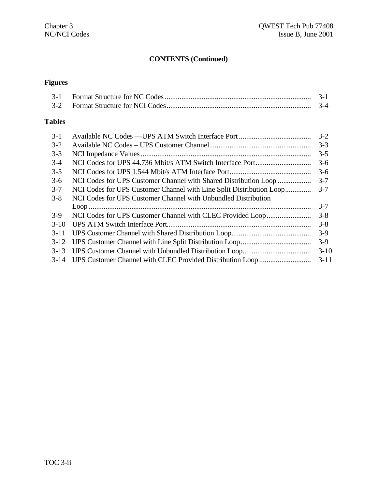# **CONTENTS (Continued)**

# **Figures**

|  | $3-4$ |
|--|-------|

# **Tables**

| $3-1$   |                                                                      | $3 - 2$  |
|---------|----------------------------------------------------------------------|----------|
| $3-2$   |                                                                      | $3 - 3$  |
| $3 - 3$ |                                                                      | $3 - 5$  |
| $3-4$   |                                                                      | $3-6$    |
| $3 - 5$ |                                                                      | $3-6$    |
| $3-6$   | NCI Codes for UPS Customer Channel with Shared Distribution Loop     | $3 - 7$  |
| $3 - 7$ | NCI Codes for UPS Customer Channel with Line Split Distribution Loop | $3 - 7$  |
| $3 - 8$ | NCI Codes for UPS Customer Channel with Unbundled Distribution       |          |
|         |                                                                      | $3 - 7$  |
| $3-9$   |                                                                      | $3 - 8$  |
| $3-10$  |                                                                      | $3 - 8$  |
| $3-11$  |                                                                      | $3-9$    |
| $3-12$  |                                                                      | $3-9$    |
| $3-13$  |                                                                      | $3 - 10$ |
|         |                                                                      | $3 - 11$ |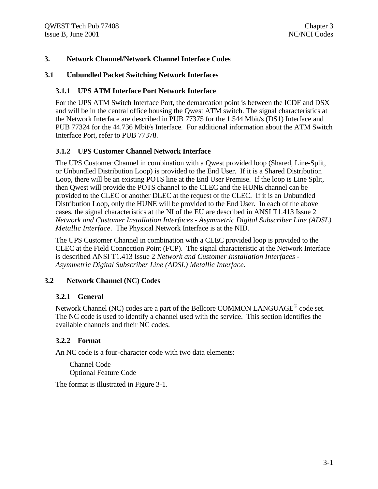#### **3. Network Channel/Network Channel Interface Codes**

#### **3.1 Unbundled Packet Switching Network Interfaces**

#### **3.1.1 UPS ATM Interface Port Network Interface**

For the UPS ATM Switch Interface Port, the demarcation point is between the ICDF and DSX and will be in the central office housing the Qwest ATM switch. The signal characteristics at the Network Interface are described in PUB 77375 for the 1.544 Mbit/s (DS1) Interface and PUB 77324 for the 44.736 Mbit/s Interface. For additional information about the ATM Switch Interface Port, refer to PUB 77378.

#### **3.1.2 UPS Customer Channel Network Interface**

The UPS Customer Channel in combination with a Qwest provided loop (Shared, Line-Split, or Unbundled Distribution Loop) is provided to the End User. If it is a Shared Distribution Loop, there will be an existing POTS line at the End User Premise. If the loop is Line Split, then Qwest will provide the POTS channel to the CLEC and the HUNE channel can be provided to the CLEC or another DLEC at the request of the CLEC. If it is an Unbundled Distribution Loop, only the HUNE will be provided to the End User. In each of the above cases, the signal characteristics at the NI of the EU are described in ANSI T1.413 Issue 2 *Network and Customer Installation Interfaces - Asymmetric Digital Subscriber Line (ADSL) Metallic Interface*. The Physical Network Interface is at the NID.

The UPS Customer Channel in combination with a CLEC provided loop is provided to the CLEC at the Field Connection Point (FCP). The signal characteristic at the Network Interface is described ANSI T1.413 Issue 2 *Network and Customer Installation Interfaces - Asymmetric Digital Subscriber Line (ADSL) Metallic Interface*.

#### **3.2 Network Channel (NC) Codes**

#### **3.2.1 General**

Network Channel (NC) codes are a part of the Bellcore COMMON LANGUAGE<sup>®</sup> code set. The NC code is used to identify a channel used with the service. This section identifies the available channels and their NC codes.

#### **3.2.2 Format**

An NC code is a four-character code with two data elements:

Channel Code Optional Feature Code

The format is illustrated in Figure 3-1.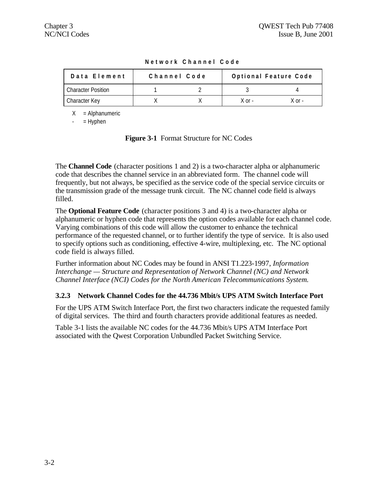| Data Element              | Channel Code | Optional Feature Code |        |  |
|---------------------------|--------------|-----------------------|--------|--|
| <b>Character Position</b> |              |                       |        |  |
| Character Key             |              | . X nr                | X ∩r - |  |

**Network Channel Code**

 $X =$  Alphanumeric

 $=$  Hyphen

**Figure 3-1** Format Structure for NC Codes

The **Channel Code** (character positions 1 and 2) is a two-character alpha or alphanumeric code that describes the channel service in an abbreviated form. The channel code will frequently, but not always, be specified as the service code of the special service circuits or the transmission grade of the message trunk circuit. The NC channel code field is always filled.

The **Optional Feature Code** (character positions 3 and 4) is a two-character alpha or alphanumeric or hyphen code that represents the option codes available for each channel code. Varying combinations of this code will allow the customer to enhance the technical performance of the requested channel, or to further identify the type of service. It is also used to specify options such as conditioning, effective 4-wire, multiplexing, etc. The NC optional code field is always filled.

Further information about NC Codes may be found in ANSI T1.223-1997, *Information Interchange — Structure and Representation of Network Channel (NC) and Network Channel Interface (NCI) Codes for the North American Telecommunications System.*

### **3.2.3 Network Channel Codes for the 44.736 Mbit/s UPS ATM Switch Interface Port**

For the UPS ATM Switch Interface Port, the first two characters indicate the requested family of digital services. The third and fourth characters provide additional features as needed.

Table 3-1 lists the available NC codes for the 44.736 Mbit/s UPS ATM Interface Port associated with the Qwest Corporation Unbundled Packet Switching Service.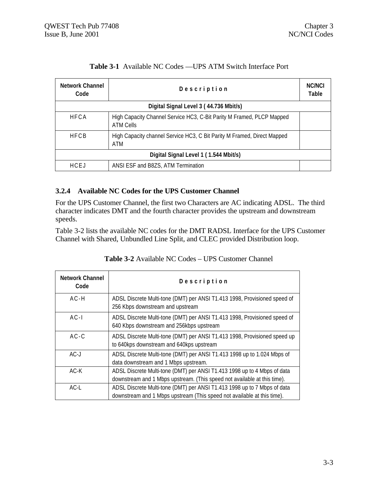| <b>Network Channel</b><br>Code | Description                                                                        |  |
|--------------------------------|------------------------------------------------------------------------------------|--|
|                                | Digital Signal Level 3 (44.736 Mbit/s)                                             |  |
| <b>HFCA</b>                    | High Capacity Channel Service HC3, C-Bit Parity M Framed, PLCP Mapped<br>ATM Cells |  |
| <b>HFCB</b>                    | High Capacity channel Service HC3, C Bit Parity M Framed, Direct Mapped<br>ATM     |  |
|                                | Digital Signal Level 1 (1.544 Mbit/s)                                              |  |
| HCFJ                           | ANSI ESF and B8ZS, ATM Termination                                                 |  |

# **Table 3-1** Available NC Codes —UPS ATM Switch Interface Port

#### **3.2.4 Available NC Codes for the UPS Customer Channel**

For the UPS Customer Channel, the first two Characters are AC indicating ADSL. The third character indicates DMT and the fourth character provides the upstream and downstream speeds.

Table 3-2 lists the available NC codes for the DMT RADSL Interface for the UPS Customer Channel with Shared, Unbundled Line Split, and CLEC provided Distribution loop.

| <b>Network Channel</b><br>Code | Description                                                                                                                                          |
|--------------------------------|------------------------------------------------------------------------------------------------------------------------------------------------------|
| $AC-H$                         | ADSL Discrete Multi-tone (DMT) per ANSI T1.413 1998, Provisioned speed of<br>256 Kbps downstream and upstream                                        |
| $AC-I$                         | ADSL Discrete Multi-tone (DMT) per ANSI T1.413 1998, Provisioned speed of<br>640 Kbps downstream and 256kbps upstream                                |
| $AC-C$                         | ADSL Discrete Multi-tone (DMT) per ANSI T1.413 1998, Provisioned speed up<br>to 640kps downstream and 640kps upstream                                |
| $AC-J$                         | ADSL Discrete Multi-tone (DMT) per ANSI T1.413 1998 up to 1.024 Mbps of<br>data downstream and 1 Mbps upstream.                                      |
| $AC-K$                         | ADSL Discrete Multi-tone (DMT) per ANSI T1.413 1998 up to 4 Mbps of data<br>downstream and 1 Mbps upstream. (This speed not available at this time). |
| $AC-L$                         | ADSL Discrete Multi-tone (DMT) per ANSI T1.413 1998 up to 7 Mbps of data<br>downstream and 1 Mbps upstream (This speed not available at this time).  |

#### **Table 3-2** Available NC Codes – UPS Customer Channel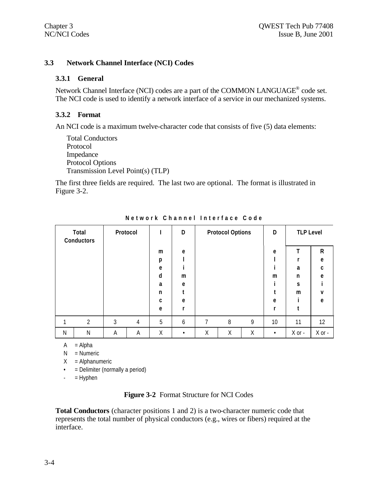#### **3.3 Network Channel Interface (NCI) Codes**

#### **3.3.1 General**

Network Channel Interface (NCI) codes are a part of the COMMON LANGUAGE<sup>®</sup> code set. The NCI code is used to identify a network interface of a service in our mechanized systems.

#### **3.3.2 Format**

An NCI code is a maximum twelve-character code that consists of five (5) data elements:

```
Total Conductors
Protocol
Impedance
Protocol Options
Transmission Level Point(s) (TLP)
```
The first three fields are required. The last two are optional. The format is illustrated in Figure 3-2.

|   | Total<br>Conductors | Protocol |   |   | D |   | <b>Protocol Options</b> |   | D         | <b>TLP Level</b> |              |
|---|---------------------|----------|---|---|---|---|-------------------------|---|-----------|------------------|--------------|
|   |                     |          |   | m | e |   |                         |   | e         |                  | $\mathsf{R}$ |
|   |                     |          |   | p |   |   |                         |   |           |                  | e            |
|   |                     |          |   | e |   |   |                         |   |           | a                | C            |
|   |                     |          |   | d | m |   |                         |   | m         | n                | e            |
|   |                     |          |   | a | e |   |                         |   |           | S                |              |
|   |                     |          |   | n |   |   |                         |   |           | m                | v            |
|   |                     |          |   | C | e |   |                         |   | e         |                  | e            |
|   |                     |          |   | e | r |   |                         |   |           |                  |              |
| 1 | $\overline{2}$      | 3        | 4 | 5 | 6 | 7 | 8                       | 9 | 10        | 11               | 12           |
| N | N                   | Α        | Α | Χ | ٠ | Χ | Χ                       | Χ | $\bullet$ | $X$ or -         | $X$ or $-$   |

**Network Channel Interface Code**

 $A = Alpha$ 

 $N =$  Numeric

 $X =$ Alphanumeric

• = Delimiter (normally a period)

 $=$  Hyphen

#### **Figure 3-2** Format Structure for NCI Codes

**Total Conductors** (character positions 1 and 2) is a two-character numeric code that represents the total number of physical conductors (e.g., wires or fibers) required at the interface.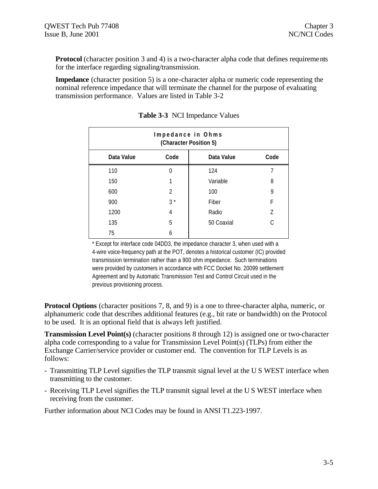**Protocol** (character position 3 and 4) is a two-character alpha code that defines requirements for the interface regarding signaling/transmission.

**Impedance** (character position 5) is a one-character alpha or numeric code representing the nominal reference impedance that will terminate the channel for the purpose of evaluating transmission performance. Values are listed in Table 3-2

| Impedance in Ohms<br>(Character Position 5) |                            |            |   |  |  |  |
|---------------------------------------------|----------------------------|------------|---|--|--|--|
| Data Value                                  | Code<br>Code<br>Data Value |            |   |  |  |  |
| 110                                         | $\Omega$                   | 124        |   |  |  |  |
| 150                                         |                            | Variable   | 8 |  |  |  |
| 600                                         | $\mathfrak{D}$             | 100        | 9 |  |  |  |
| 900                                         | $3^*$                      | Fiber      | F |  |  |  |
| 1200                                        | 4                          | Radio      | 7 |  |  |  |
| 135                                         | 5                          | 50 Coaxial | C |  |  |  |
| 75                                          | 6                          |            |   |  |  |  |

**Table 3-3** NCI Impedance Values

\* Except for interface code 04DD3, the impedance character 3, when used with a 4-wire voice-frequency path at the POT, denotes a historical customer (IC) provided transmission termination rather than a 900 ohm impedance. Such terminations were provided by customers in accordance with FCC Docket No. 20099 settlement Agreement and by Automatic Transmission Test and Control Circuit used in the previous provisioning process.

**Protocol Options** (character positions 7, 8, and 9) is a one to three-character alpha, numeric, or alphanumeric code that describes additional features (e.g., bit rate or bandwidth) on the Protocol to be used. It is an optional field that is always left justified.

**Transmission Level Point(s)** (character positions 8 through 12) is assigned one or two-character alpha code corresponding to a value for Transmission Level Point(s) (TLPs) from either the Exchange Carrier/service provider or customer end. The convention for TLP Levels is as follows:

- Transmitting TLP Level signifies the TLP transmit signal level at the U S WEST interface when transmitting to the customer.
- Receiving TLP Level signifies the TLP transmit signal level at the U S WEST interface when receiving from the customer.

Further information about NCI Codes may be found in ANSI T1.223-1997.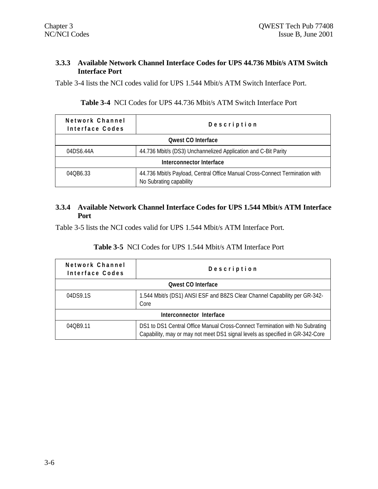### **3.3.3 Available Network Channel Interface Codes for UPS 44.736 Mbit/s ATM Switch Interface Port**

Table 3-4 lists the NCI codes valid for UPS 1.544 Mbit/s ATM Switch Interface Port.

#### **Table 3-4** NCI Codes for UPS 44.736 Mbit/s ATM Switch Interface Port

| Network Channel<br>Interface Codes | Description                                                                                            |  |  |
|------------------------------------|--------------------------------------------------------------------------------------------------------|--|--|
|                                    | <b>Owest CO Interface</b>                                                                              |  |  |
| 04DS6.44A                          | 44.736 Mbit/s (DS3) Unchannelized Application and C-Bit Parity                                         |  |  |
|                                    | Interconnector Interface                                                                               |  |  |
| 040B6.33                           | 44.736 Mbit/s Payload, Central Office Manual Cross-Connect Termination with<br>No Subrating capability |  |  |

#### **3.3.4 Available Network Channel Interface Codes for UPS 1.544 Mbit/s ATM Interface Port**

Table 3-5 lists the NCI codes valid for UPS 1.544 Mbit/s ATM Interface Port.

### **Table 3-5** NCI Codes for UPS 1.544 Mbit/s ATM Interface Port

| Network Channel<br>Interface Codes | Description                                                                                                                                                   |  |  |
|------------------------------------|---------------------------------------------------------------------------------------------------------------------------------------------------------------|--|--|
|                                    | <b>Qwest CO Interface</b>                                                                                                                                     |  |  |
| 04DS9.1S                           | 1.544 Mbit/s (DS1) ANSI ESF and B8ZS Clear Channel Capability per GR-342-<br>Core                                                                             |  |  |
|                                    | Interconnector Interface                                                                                                                                      |  |  |
| 040B9.11                           | DS1 to DS1 Central Office Manual Cross-Connect Termination with No Subrating<br>Capability, may or may not meet DS1 signal levels as specified in GR-342-Core |  |  |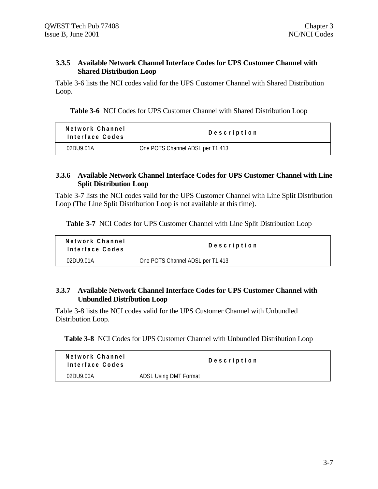#### **3.3.5 Available Network Channel Interface Codes for UPS Customer Channel with Shared Distribution Loop**

Table 3-6 lists the NCI codes valid for the UPS Customer Channel with Shared Distribution Loop.

**Table 3-6** NCI Codes for UPS Customer Channel with Shared Distribution Loop

| Network Channel<br>Interface Codes | Description                      |  |
|------------------------------------|----------------------------------|--|
| 02DU9.01A                          | One POTS Channel ADSL per T1.413 |  |

#### **3.3.6 Available Network Channel Interface Codes for UPS Customer Channel with Line Split Distribution Loop**

Table 3-7 lists the NCI codes valid for the UPS Customer Channel with Line Split Distribution Loop (The Line Split Distribution Loop is not available at this time).

**Table 3-7** NCI Codes for UPS Customer Channel with Line Split Distribution Loop

| Network Channel<br>Interface Codes | Description                      |
|------------------------------------|----------------------------------|
| 02DU9.01A                          | One POTS Channel ADSL per T1.413 |

### **3.3.7 Available Network Channel Interface Codes for UPS Customer Channel with Unbundled Distribution Loop**

Table 3-8 lists the NCI codes valid for the UPS Customer Channel with Unbundled Distribution Loop.

**Table 3-8** NCI Codes for UPS Customer Channel with Unbundled Distribution Loop

| Network Channel<br>Interface Codes | Description                  |
|------------------------------------|------------------------------|
| 02DU9.00A                          | <b>ADSL Using DMT Format</b> |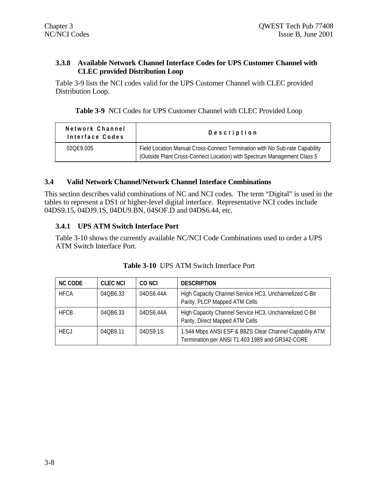### **3.3.8 Available Network Channel Interface Codes for UPS Customer Channel with CLEC provided Distribution Loop**

Table 3-9 lists the NCI codes valid for the UPS Customer Channel with CLEC provided Distribution Loop.

| Network Channel<br>Interface Codes | Description                                                                                                                                            |
|------------------------------------|--------------------------------------------------------------------------------------------------------------------------------------------------------|
| 020F9.005                          | Field Location Manual Cross-Connect Termination with No Sub-rate Capability<br>(Outside Plant Cross-Connect Location) with Spectrum Management Class 5 |

#### **3.4 Valid Network Channel/Network Channel Interface Combinations**

This section describes valid combinations of NC and NCI codes. The term "Digital" is used in the tables to represent a DS1 or higher-level digital interface. Representative NCI codes include 04DS9.15, 04DJ9.1S, 04DU9.BN, 04SOF.D and 04DS6.44, etc.

#### **3.4.1 UPS ATM Switch Interface Port**

Table 3-10 shows the currently available NC/NCI Code Combinations used to order a UPS ATM Switch Interface Port.

| <b>NC CODE</b> | <b>CLEC NCI</b> | CO NCI    | <b>DESCRIPTION</b>                                                                                         |
|----------------|-----------------|-----------|------------------------------------------------------------------------------------------------------------|
| <b>HFCA</b>    | 040B6.33        | 04DS6.44A | High Capacity Channel Service HC3, Unchannelized C-Bit<br>Parity, PLCP Mapped ATM Cells                    |
| <b>HFCB</b>    | 040B6.33        | 04DS6.44A | High Capacity Channel Service HC3, Unchannelized C-Bit<br>Parity, Direct Mapped ATM Cells                  |
| <b>HECJ</b>    | 040B9.11        | 04DS9.1S  | 1.544 Mbps ANSI ESF & B8ZS Clear Channel Capability ATM<br>Termination per ANSI T1.403 1989 and GR342-CORE |

| <b>Table 3-10 UPS ATM Switch Interface Port</b> |  |  |  |
|-------------------------------------------------|--|--|--|
|                                                 |  |  |  |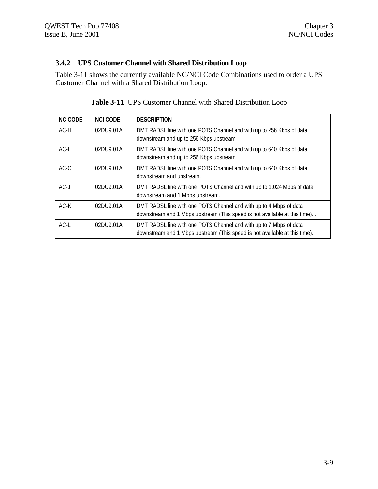# **3.4.2 UPS Customer Channel with Shared Distribution Loop**

Table 3-11 shows the currently available NC/NCI Code Combinations used to order a UPS Customer Channel with a Shared Distribution Loop.

| <b>NC CODE</b> | <b>NCI CODE</b> | <b>DESCRIPTION</b>                                                                                                                               |
|----------------|-----------------|--------------------------------------------------------------------------------------------------------------------------------------------------|
| $AC-H$         | 02DU9.01A       | DMT RADSL line with one POTS Channel and with up to 256 Kbps of data<br>downstream and up to 256 Kbps upstream                                   |
| $AC-I$         | 02DU9.01A       | DMT RADSL line with one POTS Channel and with up to 640 Kbps of data<br>downstream and up to 256 Kbps upstream                                   |
| $AC-C$         | 02DU9.01A       | DMT RADSL line with one POTS Channel and with up to 640 Kbps of data<br>downstream and upstream.                                                 |
| $AC-J$         | 02DU9.01A       | DMT RADSL line with one POTS Channel and with up to 1.024 Mbps of data<br>downstream and 1 Mbps upstream.                                        |
| $AC-K$         | 02DU9.01A       | DMT RADSL line with one POTS Channel and with up to 4 Mbps of data<br>downstream and 1 Mbps upstream (This speed is not available at this time). |
| $AC-L$         | 02DU9.01A       | DMT RADSL line with one POTS Channel and with up to 7 Mbps of data<br>downstream and 1 Mbps upstream (This speed is not available at this time). |

| Table 3-11 UPS Customer Channel with Shared Distribution Loop |  |  |
|---------------------------------------------------------------|--|--|
|                                                               |  |  |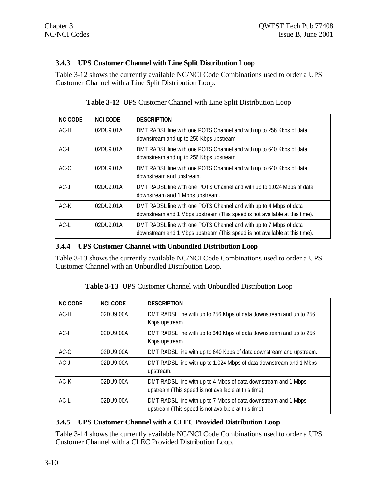# **3.4.3 UPS Customer Channel with Line Split Distribution Loop**

Table 3-12 shows the currently available NC/NCI Code Combinations used to order a UPS Customer Channel with a Line Split Distribution Loop.

| <b>NC CODE</b> | <b>NCI CODE</b> | <b>DESCRIPTION</b>                                                                                                                               |
|----------------|-----------------|--------------------------------------------------------------------------------------------------------------------------------------------------|
| AC-H           | 02DU9.01A       | DMT RADSL line with one POTS Channel and with up to 256 Kbps of data<br>downstream and up to 256 Kbps upstream                                   |
| $AC-I$         | 02DU9.01A       | DMT RADSL line with one POTS Channel and with up to 640 Kbps of data<br>downstream and up to 256 Kbps upstream                                   |
| $AC-C$         | 02DU9.01A       | DMT RADSL line with one POTS Channel and with up to 640 Kbps of data<br>downstream and upstream.                                                 |
| $AC-J$         | 02DU9.01A       | DMT RADSL line with one POTS Channel and with up to 1.024 Mbps of data<br>downstream and 1 Mbps upstream.                                        |
| $AC-K$         | 02DU9.01A       | DMT RADSL line with one POTS Channel and with up to 4 Mbps of data<br>downstream and 1 Mbps upstream (This speed is not available at this time). |
| $AC-L$         | 02DU9.01A       | DMT RADSL line with one POTS Channel and with up to 7 Mbps of data<br>downstream and 1 Mbps upstream (This speed is not available at this time). |

**Table 3-12** UPS Customer Channel with Line Split Distribution Loop

# **3.4.4 UPS Customer Channel with Unbundled Distribution Loop**

Table 3-13 shows the currently available NC/NCI Code Combinations used to order a UPS Customer Channel with an Unbundled Distribution Loop.

| Table 3-13 UPS Customer Channel with Unbundled Distribution Loop |
|------------------------------------------------------------------|
|------------------------------------------------------------------|

| <b>NC CODE</b> | <b>NCLCODE</b> | <b>DESCRIPTION</b>                                                                                                     |
|----------------|----------------|------------------------------------------------------------------------------------------------------------------------|
| $AC-H$         | 02DU9.00A      | DMT RADSL line with up to 256 Kbps of data downstream and up to 256<br>Kbps upstream                                   |
| $AC-I$         | 02DU9.00A      | DMT RADSL line with up to 640 Kbps of data downstream and up to 256<br>Kbps upstream                                   |
| $AC-C$         | 02DU9.00A      | DMT RADSL line with up to 640 Kbps of data downstream and upstream.                                                    |
| $AC-J$         | 02DU9.00A      | DMT RADSL line with up to 1.024 Mbps of data downstream and 1 Mbps<br>upstream.                                        |
| $AC-K$         | 02DU9.00A      | DMT RADSL line with up to 4 Mbps of data downstream and 1 Mbps<br>upstream (This speed is not available at this time). |
| $AC-I$         | 02DU9.00A      | DMT RADSL line with up to 7 Mbps of data downstream and 1 Mbps<br>upstream (This speed is not available at this time). |

# **3.4.5 UPS Customer Channel with a CLEC Provided Distribution Loop**

Table 3-14 shows the currently available NC/NCI Code Combinations used to order a UPS Customer Channel with a CLEC Provided Distribution Loop.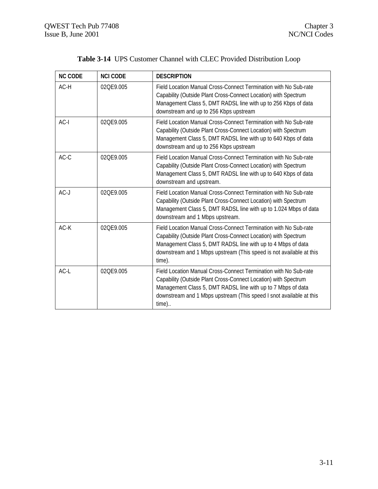| <b>NC CODE</b> | <b>NCI CODE</b> | <b>DESCRIPTION</b>                                                                                                                                                                                                                                                                    |
|----------------|-----------------|---------------------------------------------------------------------------------------------------------------------------------------------------------------------------------------------------------------------------------------------------------------------------------------|
| AC-H           | 02QE9.005       | Field Location Manual Cross-Connect Termination with No Sub-rate<br>Capability (Outside Plant Cross-Connect Location) with Spectrum<br>Management Class 5, DMT RADSL line with up to 256 Kbps of data<br>downstream and up to 256 Kbps upstream                                       |
| $AC-I$         | 020F9.005       | Field Location Manual Cross-Connect Termination with No Sub-rate<br>Capability (Outside Plant Cross-Connect Location) with Spectrum<br>Management Class 5, DMT RADSL line with up to 640 Kbps of data<br>downstream and up to 256 Kbps upstream                                       |
| $AC-C$         | 02QE9.005       | Field Location Manual Cross-Connect Termination with No Sub-rate<br>Capability (Outside Plant Cross-Connect Location) with Spectrum<br>Management Class 5, DMT RADSL line with up to 640 Kbps of data<br>downstream and upstream.                                                     |
| $AC-J$         | 02QE9.005       | Field Location Manual Cross-Connect Termination with No Sub-rate<br>Capability (Outside Plant Cross-Connect Location) with Spectrum<br>Management Class 5, DMT RADSL line with up to 1.024 Mbps of data<br>downstream and 1 Mbps upstream.                                            |
| $AC-K$         | 020F9.005       | Field Location Manual Cross-Connect Termination with No Sub-rate<br>Capability (Outside Plant Cross-Connect Location) with Spectrum<br>Management Class 5, DMT RADSL line with up to 4 Mbps of data<br>downstream and 1 Mbps upstream (This speed is not available at this<br>time).  |
| $AC-L$         | 02QE9.005       | Field Location Manual Cross-Connect Termination with No Sub-rate<br>Capability (Outside Plant Cross-Connect Location) with Spectrum<br>Management Class 5, DMT RADSL line with up to 7 Mbps of data<br>downstream and 1 Mbps upstream (This speed I snot available at this<br>$time)$ |

# **Table 3-14** UPS Customer Channel with CLEC Provided Distribution Loop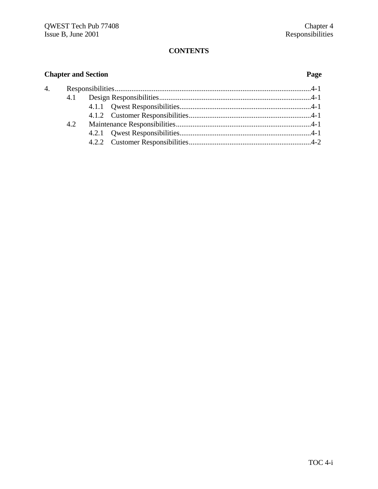### **CONTENTS**

# **Chapter and Section Page** 4. Responsibilities..........................................................................................................4-1 4.1 Design Responsibilities..................................................................................4-1 4.1.1 Qwest Responsibilities.......................................................................4-1 4.1.2 Customer Responsibilities..................................................................4-1 4.2 Maintenance Responsibilities.........................................................................4-1 4.2.1 Qwest Responsibilities.......................................................................4-1 4.2.2 Customer Responsibilities..................................................................4-2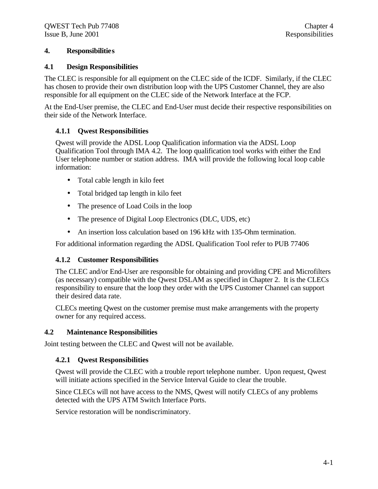#### **4. Responsibilities**

#### **4.1 Design Responsibilities**

The CLEC is responsible for all equipment on the CLEC side of the ICDF. Similarly, if the CLEC has chosen to provide their own distribution loop with the UPS Customer Channel, they are also responsible for all equipment on the CLEC side of the Network Interface at the FCP.

At the End-User premise, the CLEC and End-User must decide their respective responsibilities on their side of the Network Interface.

#### **4.1.1 Qwest Responsibilities**

Qwest will provide the ADSL Loop Qualification information via the ADSL Loop Qualification Tool through IMA 4.2. The loop qualification tool works with either the End User telephone number or station address. IMA will provide the following local loop cable information:

- Total cable length in kilo feet
- Total bridged tap length in kilo feet
- The presence of Load Coils in the loop
- The presence of Digital Loop Electronics (DLC, UDS, etc)
- An insertion loss calculation based on 196 kHz with 135-Ohm termination.

For additional information regarding the ADSL Qualification Tool refer to PUB 77406

#### **4.1.2 Customer Responsibilities**

The CLEC and/or End-User are responsible for obtaining and providing CPE and Microfilters (as necessary) compatible with the Qwest DSLAM as specified in Chapter 2. It is the CLECs responsibility to ensure that the loop they order with the UPS Customer Channel can support their desired data rate.

CLECs meeting Qwest on the customer premise must make arrangements with the property owner for any required access.

#### **4.2 Maintenance Responsibilities**

Joint testing between the CLEC and Qwest will not be available.

#### **4.2.1 Qwest Responsibilities**

Qwest will provide the CLEC with a trouble report telephone number. Upon request, Qwest will initiate actions specified in the Service Interval Guide to clear the trouble.

Since CLECs will not have access to the NMS, Qwest will notify CLECs of any problems detected with the UPS ATM Switch Interface Ports.

Service restoration will be nondiscriminatory.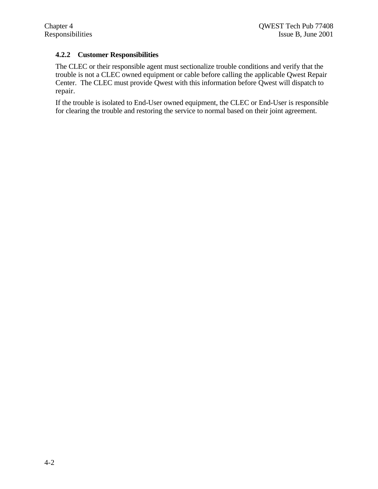### **4.2.2 Customer Responsibilities**

The CLEC or their responsible agent must sectionalize trouble conditions and verify that the trouble is not a CLEC owned equipment or cable before calling the applicable Qwest Repair Center. The CLEC must provide Qwest with this information before Qwest will dispatch to repair.

If the trouble is isolated to End-User owned equipment, the CLEC or End-User is responsible for clearing the trouble and restoring the service to normal based on their joint agreement.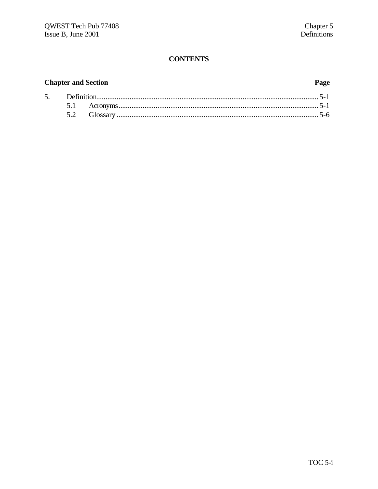# **CONTENTS**

# **Chapter and Section**

# Page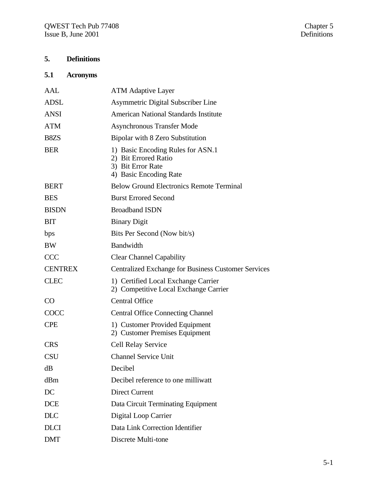# **5. Definitions**

# **5.1 Acronyms**

| AAL                           | <b>ATM Adaptive Layer</b>                                                                                |  |
|-------------------------------|----------------------------------------------------------------------------------------------------------|--|
| <b>ADSL</b>                   | Asymmetric Digital Subscriber Line                                                                       |  |
| <b>ANSI</b>                   | <b>American National Standards Institute</b>                                                             |  |
| <b>ATM</b>                    | <b>Asynchronous Transfer Mode</b>                                                                        |  |
| B <sub>8</sub> Z <sub>S</sub> | Bipolar with 8 Zero Substitution                                                                         |  |
| <b>BER</b>                    | 1) Basic Encoding Rules for ASN.1<br>2) Bit Errored Ratio<br>3) Bit Error Rate<br>4) Basic Encoding Rate |  |
| <b>BERT</b>                   | <b>Below Ground Electronics Remote Terminal</b>                                                          |  |
| <b>BES</b>                    | <b>Burst Errored Second</b>                                                                              |  |
| <b>BISDN</b>                  | <b>Broadband ISDN</b>                                                                                    |  |
| <b>BIT</b>                    | <b>Binary Digit</b>                                                                                      |  |
| bps                           | Bits Per Second (Now bit/s)                                                                              |  |
| <b>BW</b>                     | Bandwidth                                                                                                |  |
| <b>CCC</b>                    | <b>Clear Channel Capability</b>                                                                          |  |
| <b>CENTREX</b>                | <b>Centralized Exchange for Business Customer Services</b>                                               |  |
| <b>CLEC</b>                   | 1) Certified Local Exchange Carrier<br>2) Competitive Local Exchange Carrier                             |  |
| CO                            | <b>Central Office</b>                                                                                    |  |
| COCC                          | <b>Central Office Connecting Channel</b>                                                                 |  |
| <b>CPE</b>                    | 1) Customer Provided Equipment<br>2) Customer Premises Equipment                                         |  |
| <b>CRS</b>                    | <b>Cell Relay Service</b>                                                                                |  |
| <b>CSU</b>                    | <b>Channel Service Unit</b>                                                                              |  |
| dB                            | Decibel                                                                                                  |  |
| dBm                           | Decibel reference to one milliwatt                                                                       |  |
| DC                            | <b>Direct Current</b>                                                                                    |  |
| <b>DCE</b>                    | Data Circuit Terminating Equipment                                                                       |  |
| <b>DLC</b>                    | Digital Loop Carrier                                                                                     |  |
| <b>DLCI</b>                   | Data Link Correction Identifier                                                                          |  |
| <b>DMT</b>                    | Discrete Multi-tone                                                                                      |  |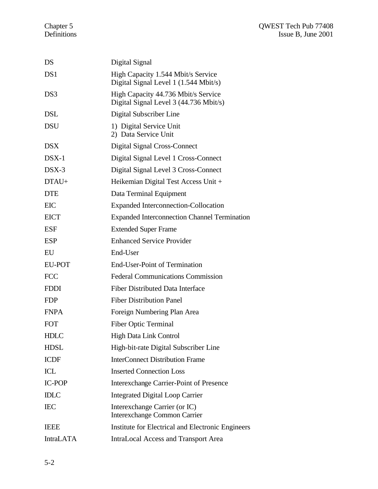| DS               | Digital Signal                                                                |
|------------------|-------------------------------------------------------------------------------|
| DS1              | High Capacity 1.544 Mbit/s Service<br>Digital Signal Level 1 (1.544 Mbit/s)   |
| DS3              | High Capacity 44.736 Mbit/s Service<br>Digital Signal Level 3 (44.736 Mbit/s) |
| DSL              | Digital Subscriber Line                                                       |
| <b>DSU</b>       | 1) Digital Service Unit<br>2) Data Service Unit                               |
| <b>DSX</b>       | Digital Signal Cross-Connect                                                  |
| $DSX-1$          | Digital Signal Level 1 Cross-Connect                                          |
| $DSX-3$          | Digital Signal Level 3 Cross-Connect                                          |
| DTAU+            | Heikemian Digital Test Access Unit +                                          |
| <b>DTE</b>       | Data Terminal Equipment                                                       |
| <b>EIC</b>       | <b>Expanded Interconnection-Collocation</b>                                   |
| <b>EICT</b>      | <b>Expanded Interconnection Channel Termination</b>                           |
| <b>ESF</b>       | <b>Extended Super Frame</b>                                                   |
| <b>ESP</b>       | <b>Enhanced Service Provider</b>                                              |
| EU               | End-User                                                                      |
| <b>EU-POT</b>    | End-User-Point of Termination                                                 |
| <b>FCC</b>       | <b>Federal Communications Commission</b>                                      |
| <b>FDDI</b>      | <b>Fiber Distributed Data Interface</b>                                       |
| <b>FDP</b>       | <b>Fiber Distribution Panel</b>                                               |
| <b>FNPA</b>      | Foreign Numbering Plan Area                                                   |
| <b>FOT</b>       | <b>Fiber Optic Terminal</b>                                                   |
| <b>HDLC</b>      | <b>High Data Link Control</b>                                                 |
| <b>HDSL</b>      | High-bit-rate Digital Subscriber Line                                         |
| <b>ICDF</b>      | <b>InterConnect Distribution Frame</b>                                        |
| ICL              | <b>Inserted Connection Loss</b>                                               |
| <b>IC-POP</b>    | Interexchange Carrier-Point of Presence                                       |
| <b>IDLC</b>      | <b>Integrated Digital Loop Carrier</b>                                        |
| <b>IEC</b>       | Interexchange Carrier (or IC)<br><b>Interexchange Common Carrier</b>          |
| <b>IEEE</b>      | Institute for Electrical and Electronic Engineers                             |
| <b>IntraLATA</b> | IntraLocal Access and Transport Area                                          |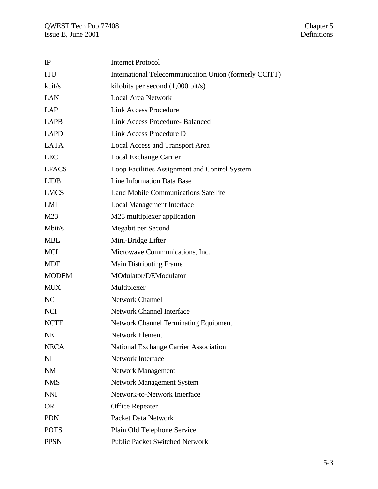| $\mathbb{P}$   | <b>Internet Protocol</b>                               |
|----------------|--------------------------------------------------------|
| ITU            | International Telecommunication Union (formerly CCITT) |
| kbit/s         | kilobits per second $(1,000 \text{ bit/s})$            |
| <b>LAN</b>     | <b>Local Area Network</b>                              |
| <b>LAP</b>     | <b>Link Access Procedure</b>                           |
| <b>LAPB</b>    | <b>Link Access Procedure-Balanced</b>                  |
| <b>LAPD</b>    | Link Access Procedure D                                |
| <b>LATA</b>    | Local Access and Transport Area                        |
| <b>LEC</b>     | Local Exchange Carrier                                 |
| <b>LFACS</b>   | Loop Facilities Assignment and Control System          |
| <b>LIDB</b>    | Line Information Data Base                             |
| <b>LMCS</b>    | <b>Land Mobile Communications Satellite</b>            |
| LMI            | <b>Local Management Interface</b>                      |
| M23            | M23 multiplexer application                            |
| Mbit/s         | Megabit per Second                                     |
| <b>MBL</b>     | Mini-Bridge Lifter                                     |
| <b>MCI</b>     | Microwave Communications, Inc.                         |
| <b>MDF</b>     | Main Distributing Frame                                |
| <b>MODEM</b>   | MOdulator/DEModulator                                  |
| <b>MUX</b>     | Multiplexer                                            |
| NC             | <b>Network Channel</b>                                 |
| <b>NCI</b>     | <b>Network Channel Interface</b>                       |
| <b>NCTE</b>    | <b>Network Channel Terminating Equipment</b>           |
| <b>NE</b>      | Network Element                                        |
| <b>NECA</b>    | National Exchange Carrier Association                  |
| N <sub>I</sub> | <b>Network Interface</b>                               |
| <b>NM</b>      | Network Management                                     |
| <b>NMS</b>     | <b>Network Management System</b>                       |
| <b>NNI</b>     | Network-to-Network Interface                           |
| <b>OR</b>      | <b>Office Repeater</b>                                 |
| <b>PDN</b>     | <b>Packet Data Network</b>                             |
| <b>POTS</b>    | Plain Old Telephone Service                            |
| <b>PPSN</b>    | <b>Public Packet Switched Network</b>                  |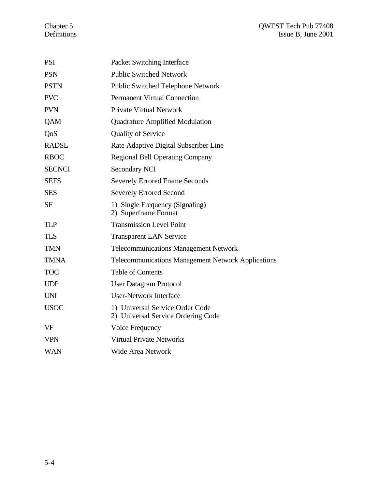| <b>PSI</b>    | Packet Switching Interface                                            |
|---------------|-----------------------------------------------------------------------|
| <b>PSN</b>    | <b>Public Switched Network</b>                                        |
| <b>PSTN</b>   | <b>Public Switched Telephone Network</b>                              |
| <b>PVC</b>    | <b>Permanent Virtual Connection</b>                                   |
| <b>PVN</b>    | <b>Private Virtual Network</b>                                        |
| QAM           | <b>Quadrature Amplified Modulation</b>                                |
| QoS           | <b>Quality of Service</b>                                             |
| <b>RADSL</b>  | Rate Adaptive Digital Subscriber Line                                 |
| <b>RBOC</b>   | <b>Regional Bell Operating Company</b>                                |
| <b>SECNCI</b> | Secondary NCI                                                         |
| <b>SEFS</b>   | <b>Severely Errored Frame Seconds</b>                                 |
| <b>SES</b>    | <b>Severely Errored Second</b>                                        |
| <b>SF</b>     | 1) Single Frequency (Signaling)<br>2) Superframe Format               |
| <b>TLP</b>    | <b>Transmission Level Point</b>                                       |
| <b>TLS</b>    | <b>Transparent LAN Service</b>                                        |
| <b>TMN</b>    | <b>Telecommunications Management Network</b>                          |
| <b>TMNA</b>   | <b>Telecommunications Management Network Applications</b>             |
| <b>TOC</b>    | <b>Table of Contents</b>                                              |
| <b>UDP</b>    | <b>User Datagram Protocol</b>                                         |
| <b>UNI</b>    | <b>User-Network Interface</b>                                         |
| <b>USOC</b>   | 1) Universal Service Order Code<br>2) Universal Service Ordering Code |
| VF            | Voice Frequency                                                       |
| <b>VPN</b>    | <b>Virtual Private Networks</b>                                       |
| <b>WAN</b>    | <b>Wide Area Network</b>                                              |
|               |                                                                       |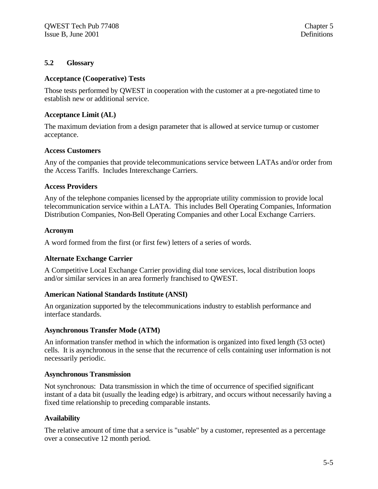#### **5.2 Glossary**

#### **Acceptance (Cooperative) Tests**

Those tests performed by QWEST in cooperation with the customer at a pre-negotiated time to establish new or additional service.

#### **Acceptance Limit (AL)**

The maximum deviation from a design parameter that is allowed at service turnup or customer acceptance.

#### **Access Customers**

Any of the companies that provide telecommunications service between LATAs and/or order from the Access Tariffs. Includes Interexchange Carriers.

#### **Access Providers**

Any of the telephone companies licensed by the appropriate utility commission to provide local telecommunication service within a LATA. This includes Bell Operating Companies, Information Distribution Companies, Non-Bell Operating Companies and other Local Exchange Carriers.

#### **Acronym**

A word formed from the first (or first few) letters of a series of words.

### **Alternate Exchange Carrier**

A Competitive Local Exchange Carrier providing dial tone services, local distribution loops and/or similar services in an area formerly franchised to QWEST.

#### **American National Standards Institute (ANSI)**

An organization supported by the telecommunications industry to establish performance and interface standards.

#### **Asynchronous Transfer Mode (ATM)**

An information transfer method in which the information is organized into fixed length (53 octet) cells. It is asynchronous in the sense that the recurrence of cells containing user information is not necessarily periodic.

#### **Asynchronous Transmission**

Not synchronous: Data transmission in which the time of occurrence of specified significant instant of a data bit (usually the leading edge) is arbitrary, and occurs without necessarily having a fixed time relationship to preceding comparable instants.

#### **Availability**

The relative amount of time that a service is "usable" by a customer, represented as a percentage over a consecutive 12 month period.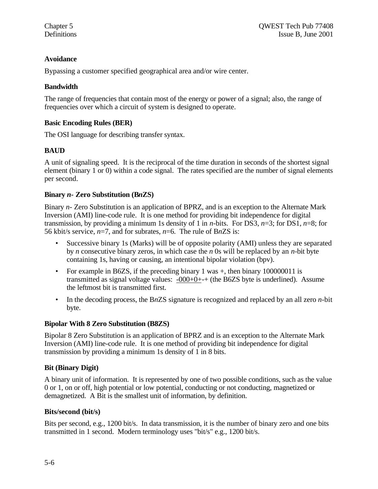# **Avoidance**

Bypassing a customer specified geographical area and/or wire center.

# **Bandwidth**

The range of frequencies that contain most of the energy or power of a signal; also, the range of frequencies over which a circuit of system is designed to operate.

# **Basic Encoding Rules (BER)**

The OSI language for describing transfer syntax.

# **BAUD**

A unit of signaling speed. It is the reciprocal of the time duration in seconds of the shortest signal element (binary 1 or 0) within a code signal. The rates specified are the number of signal elements per second.

# **Binary** *n-* **Zero Substitution (B***n***ZS)**

Binary *n-* Zero Substitution is an application of BPRZ, and is an exception to the Alternate Mark Inversion (AMI) line-code rule. It is one method for providing bit independence for digital transmission, by providing a minimum 1s density of 1 in *n*-bits. For DS3, *n*=3; for DS1, *n*=8; for 56 kbit/s service, *n*=7, and for subrates, *n*=6. The rule of B*n*ZS is:

- Successive binary 1s (Marks) will be of opposite polarity (AMI) unless they are separated by *n* consecutive binary zeros, in which case the *n* 0s will be replaced by an *n*-bit byte containing 1s, having or causing, an intentional bipolar violation (bpv).
- For example in B6ZS, if the preceding binary 1 was +, then binary 100000011 is transmitted as signal voltage values: -000+0+-+ (the B6ZS byte is underlined). Assume the leftmost bit is transmitted first.
- In the decoding process, the B*n*ZS signature is recognized and replaced by an all zero *n*-bit byte.

### **Bipolar With 8 Zero Substitution (B8ZS)**

Bipolar 8 Zero Substitution is an application of BPRZ and is an exception to the Alternate Mark Inversion (AMI) line-code rule. It is one method of providing bit independence for digital transmission by providing a minimum 1s density of 1 in 8 bits.

# **Bit (Binary Digit)**

A binary unit of information. It is represented by one of two possible conditions, such as the value 0 or 1, on or off, high potential or low potential, conducting or not conducting, magnetized or demagnetized. A Bit is the smallest unit of information, by definition.

### **Bits/second (bit/s)**

Bits per second, e.g., 1200 bit/s. In data transmission, it is the number of binary zero and one bits transmitted in 1 second. Modern terminology uses "bit/s" e.g., 1200 bit/s.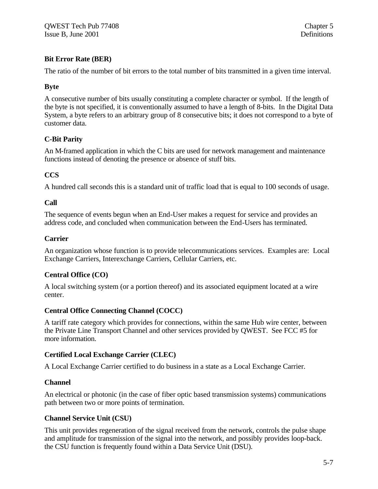# **Bit Error Rate (BER)**

The ratio of the number of bit errors to the total number of bits transmitted in a given time interval.

# **Byte**

A consecutive number of bits usually constituting a complete character or symbol. If the length of the byte is not specified, it is conventionally assumed to have a length of 8-bits. In the Digital Data System, a byte refers to an arbitrary group of 8 consecutive bits; it does not correspond to a byte of customer data.

# **C-Bit Parity**

An M-framed application in which the C bits are used for network management and maintenance functions instead of denoting the presence or absence of stuff bits.

# **CCS**

A hundred call seconds this is a standard unit of traffic load that is equal to 100 seconds of usage.

# **Call**

The sequence of events begun when an End-User makes a request for service and provides an address code, and concluded when communication between the End-Users has terminated.

# **Carrier**

An organization whose function is to provide telecommunications services. Examples are: Local Exchange Carriers, Interexchange Carriers, Cellular Carriers, etc.

# **Central Office (CO)**

A local switching system (or a portion thereof) and its associated equipment located at a wire center.

# **Central Office Connecting Channel (COCC)**

A tariff rate category which provides for connections, within the same Hub wire center, between the Private Line Transport Channel and other services provided by QWEST. See FCC #5 for more information.

### **Certified Local Exchange Carrier (CLEC)**

A Local Exchange Carrier certified to do business in a state as a Local Exchange Carrier.

# **Channel**

An electrical or photonic (in the case of fiber optic based transmission systems) communications path between two or more points of termination.

# **Channel Service Unit (CSU)**

This unit provides regeneration of the signal received from the network, controls the pulse shape and amplitude for transmission of the signal into the network, and possibly provides loop-back. the CSU function is frequently found within a Data Service Unit (DSU).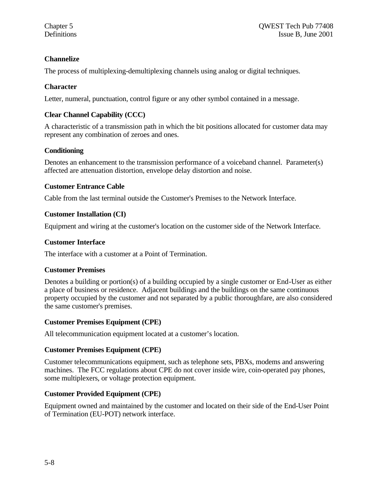# **Channelize**

The process of multiplexing-demultiplexing channels using analog or digital techniques.

# **Character**

Letter, numeral, punctuation, control figure or any other symbol contained in a message.

# **Clear Channel Capability (CCC)**

A characteristic of a transmission path in which the bit positions allocated for customer data may represent any combination of zeroes and ones.

# **Conditioning**

Denotes an enhancement to the transmission performance of a voiceband channel. Parameter(s) affected are attenuation distortion, envelope delay distortion and noise.

# **Customer Entrance Cable**

Cable from the last terminal outside the Customer's Premises to the Network Interface.

# **Customer Installation (CI)**

Equipment and wiring at the customer's location on the customer side of the Network Interface.

### **Customer Interface**

The interface with a customer at a Point of Termination.

### **Customer Premises**

Denotes a building or portion(s) of a building occupied by a single customer or End-User as either a place of business or residence. Adjacent buildings and the buildings on the same continuous property occupied by the customer and not separated by a public thoroughfare, are also considered the same customer's premises.

### **Customer Premises Equipment (CPE)**

All telecommunication equipment located at a customer's location.

### **Customer Premises Equipment (CPE)**

Customer telecommunications equipment, such as telephone sets, PBXs, modems and answering machines. The FCC regulations about CPE do not cover inside wire, coin-operated pay phones, some multiplexers, or voltage protection equipment.

# **Customer Provided Equipment (CPE)**

Equipment owned and maintained by the customer and located on their side of the End-User Point of Termination (EU-POT) network interface.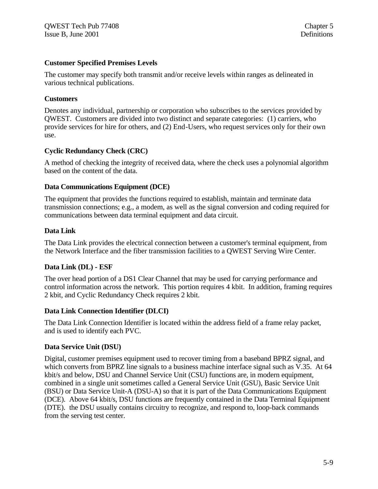#### **Customer Specified Premises Levels**

The customer may specify both transmit and/or receive levels within ranges as delineated in various technical publications.

#### **Customers**

Denotes any individual, partnership or corporation who subscribes to the services provided by QWEST. Customers are divided into two distinct and separate categories: (1) carriers, who provide services for hire for others, and (2) End-Users, who request services only for their own use.

### **Cyclic Redundancy Check (CRC)**

A method of checking the integrity of received data, where the check uses a polynomial algorithm based on the content of the data.

#### **Data Communications Equipment (DCE)**

The equipment that provides the functions required to establish, maintain and terminate data transmission connections; e.g., a modem, as well as the signal conversion and coding required for communications between data terminal equipment and data circuit.

#### **Data Link**

The Data Link provides the electrical connection between a customer's terminal equipment, from the Network Interface and the fiber transmission facilities to a QWEST Serving Wire Center.

#### **Data Link (DL) - ESF**

The over head portion of a DS1 Clear Channel that may be used for carrying performance and control information across the network. This portion requires 4 kbit. In addition, framing requires 2 kbit, and Cyclic Redundancy Check requires 2 kbit.

#### **Data Link Connection Identifier (DLCI)**

The Data Link Connection Identifier is located within the address field of a frame relay packet, and is used to identify each PVC.

### **Data Service Unit (DSU)**

Digital, customer premises equipment used to recover timing from a baseband BPRZ signal, and which converts from BPRZ line signals to a business machine interface signal such as V.35. At 64 kbit/s and below, DSU and Channel Service Unit (CSU) functions are, in modern equipment, combined in a single unit sometimes called a General Service Unit (GSU), Basic Service Unit (BSU) or Data Service Unit-A (DSU-A) so that it is part of the Data Communications Equipment (DCE). Above 64 kbit/s, DSU functions are frequently contained in the Data Terminal Equipment (DTE). the DSU usually contains circuitry to recognize, and respond to, loop-back commands from the serving test center.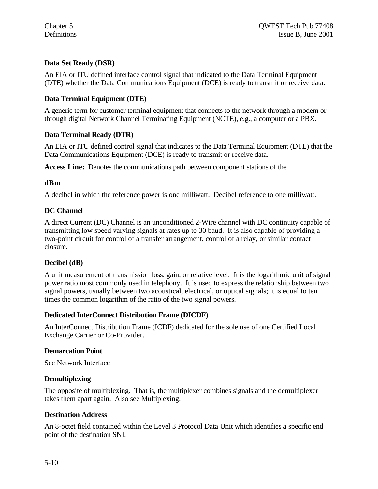# **Data Set Ready (DSR)**

An EIA or ITU defined interface control signal that indicated to the Data Terminal Equipment (DTE) whether the Data Communications Equipment (DCE) is ready to transmit or receive data.

#### **Data Terminal Equipment (DTE)**

A generic term for customer terminal equipment that connects to the network through a modem or through digital Network Channel Terminating Equipment (NCTE), e.g., a computer or a PBX.

#### **Data Terminal Ready (DTR)**

An EIA or ITU defined control signal that indicates to the Data Terminal Equipment (DTE) that the Data Communications Equipment (DCE) is ready to transmit or receive data.

**Access Line:** Denotes the communications path between component stations of the

#### **dBm**

A decibel in which the reference power is one milliwatt. Decibel reference to one milliwatt.

#### **DC Channel**

A direct Current (DC) Channel is an unconditioned 2-Wire channel with DC continuity capable of transmitting low speed varying signals at rates up to 30 baud. It is also capable of providing a two-point circuit for control of a transfer arrangement, control of a relay, or similar contact closure.

#### **Decibel (dB)**

A unit measurement of transmission loss, gain, or relative level. It is the logarithmic unit of signal power ratio most commonly used in telephony. It is used to express the relationship between two signal powers, usually between two acoustical, electrical, or optical signals; it is equal to ten times the common logarithm of the ratio of the two signal powers.

#### **Dedicated InterConnect Distribution Frame (DICDF)**

An InterConnect Distribution Frame (ICDF) dedicated for the sole use of one Certified Local Exchange Carrier or Co-Provider.

#### **Demarcation Point**

See Network Interface

### **Demultiplexing**

The opposite of multiplexing. That is, the multiplexer combines signals and the demultiplexer takes them apart again. Also see Multiplexing.

#### **Destination Address**

An 8-octet field contained within the Level 3 Protocol Data Unit which identifies a specific end point of the destination SNI.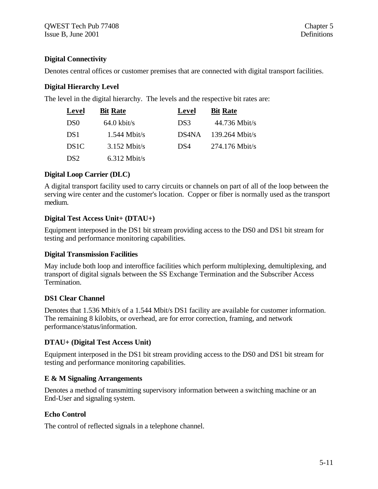# **Digital Connectivity**

Denotes central offices or customer premises that are connected with digital transport facilities.

### **Digital Hierarchy Level**

The level in the digital hierarchy. The levels and the respective bit rates are:

| <b>Level</b>      | <b>Bit Rate</b>       | Level | <b>Bit Rate</b>  |
|-------------------|-----------------------|-------|------------------|
| DS <sub>0</sub>   | $64.0 \text{ kbit/s}$ | DS3   | $44.736$ Mbit/s  |
| DS <sub>1</sub>   | $1.544$ Mbit/s        | DS4NA | $139.264$ Mbit/s |
| DS <sub>1</sub> C | $3.152$ Mbit/s        | DS4   | $274.176$ Mbit/s |
| DS <sub>2</sub>   | $6.312$ Mbit/s        |       |                  |

### **Digital Loop Carrier (DLC)**

A digital transport facility used to carry circuits or channels on part of all of the loop between the serving wire center and the customer's location. Copper or fiber is normally used as the transport medium.

### **Digital Test Access Unit+ (DTAU+)**

Equipment interposed in the DS1 bit stream providing access to the DS0 and DS1 bit stream for testing and performance monitoring capabilities.

### **Digital Transmission Facilities**

May include both loop and interoffice facilities which perform multiplexing, demultiplexing, and transport of digital signals between the SS Exchange Termination and the Subscriber Access Termination.

# **DS1 Clear Channel**

Denotes that 1.536 Mbit/s of a 1.544 Mbit/s DS1 facility are available for customer information. The remaining 8 kilobits, or overhead, are for error correction, framing, and network performance/status/information.

# **DTAU+ (Digital Test Access Unit)**

Equipment interposed in the DS1 bit stream providing access to the DS0 and DS1 bit stream for testing and performance monitoring capabilities.

# **E & M Signaling Arrangements**

Denotes a method of transmitting supervisory information between a switching machine or an End-User and signaling system.

# **Echo Control**

The control of reflected signals in a telephone channel.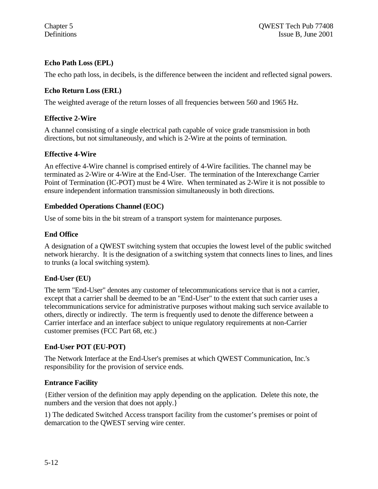# **Echo Path Loss (EPL)**

The echo path loss, in decibels, is the difference between the incident and reflected signal powers.

# **Echo Return Loss (ERL)**

The weighted average of the return losses of all frequencies between 560 and 1965 Hz.

# **Effective 2-Wire**

A channel consisting of a single electrical path capable of voice grade transmission in both directions, but not simultaneously, and which is 2-Wire at the points of termination.

### **Effective 4-Wire**

An effective 4-Wire channel is comprised entirely of 4-Wire facilities. The channel may be terminated as 2-Wire or 4-Wire at the End-User. The termination of the Interexchange Carrier Point of Termination (IC-POT) must be 4 Wire. When terminated as 2-Wire it is not possible to ensure independent information transmission simultaneously in both directions.

### **Embedded Operations Channel (EOC)**

Use of some bits in the bit stream of a transport system for maintenance purposes.

### **End Office**

A designation of a QWEST switching system that occupies the lowest level of the public switched network hierarchy. It is the designation of a switching system that connects lines to lines, and lines to trunks (a local switching system).

### **End-User (EU)**

The term "End-User" denotes any customer of telecommunications service that is not a carrier, except that a carrier shall be deemed to be an "End-User" to the extent that such carrier uses a telecommunications service for administrative purposes without making such service available to others, directly or indirectly. The term is frequently used to denote the difference between a Carrier interface and an interface subject to unique regulatory requirements at non-Carrier customer premises (FCC Part 68, etc.)

### **End-User POT (EU-POT)**

The Network Interface at the End-User's premises at which QWEST Communication, Inc.'s responsibility for the provision of service ends.

### **Entrance Facility**

{Either version of the definition may apply depending on the application. Delete this note, the numbers and the version that does not apply.}

1) The dedicated Switched Access transport facility from the customer's premises or point of demarcation to the QWEST serving wire center.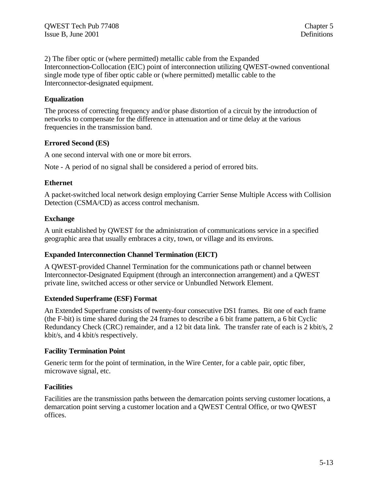2) The fiber optic or (where permitted) metallic cable from the Expanded Interconnection-Collocation (EIC) point of interconnection utilizing QWEST-owned conventional single mode type of fiber optic cable or (where permitted) metallic cable to the Interconnector-designated equipment.

#### **Equalization**

The process of correcting frequency and/or phase distortion of a circuit by the introduction of networks to compensate for the difference in attenuation and or time delay at the various frequencies in the transmission band.

#### **Errored Second (ES)**

A one second interval with one or more bit errors.

Note - A period of no signal shall be considered a period of errored bits.

#### **Ethernet**

A packet-switched local network design employing Carrier Sense Multiple Access with Collision Detection (CSMA/CD) as access control mechanism.

#### **Exchange**

A unit established by QWEST for the administration of communications service in a specified geographic area that usually embraces a city, town, or village and its environs.

#### **Expanded Interconnection Channel Termination (EICT)**

A QWEST-provided Channel Termination for the communications path or channel between Interconnector-Designated Equipment (through an interconnection arrangement) and a QWEST private line, switched access or other service or Unbundled Network Element.

#### **Extended Superframe (ESF) Format**

An Extended Superframe consists of twenty-four consecutive DS1 frames. Bit one of each frame (the F-bit) is time shared during the 24 frames to describe a 6 bit frame pattern, a 6 bit Cyclic Redundancy Check (CRC) remainder, and a 12 bit data link. The transfer rate of each is 2 kbit/s, 2 kbit/s, and 4 kbit/s respectively.

#### **Facility Termination Point**

Generic term for the point of termination, in the Wire Center, for a cable pair, optic fiber, microwave signal, etc.

#### **Facilities**

Facilities are the transmission paths between the demarcation points serving customer locations, a demarcation point serving a customer location and a QWEST Central Office, or two QWEST offices.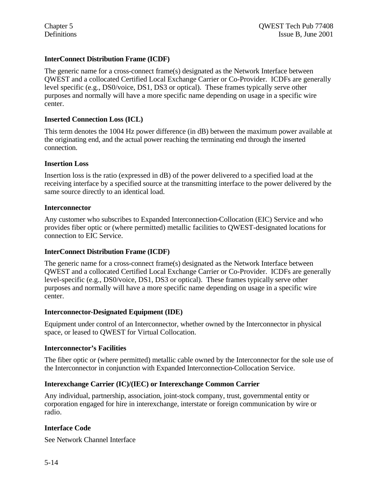#### **InterConnect Distribution Frame (ICDF)**

The generic name for a cross-connect frame(s) designated as the Network Interface between QWEST and a collocated Certified Local Exchange Carrier or Co-Provider. ICDFs are generally level specific (e.g., DS0/voice, DS1, DS3 or optical). These frames typically serve other purposes and normally will have a more specific name depending on usage in a specific wire center.

#### **Inserted Connection Loss (ICL)**

This term denotes the 1004 Hz power difference (in dB) between the maximum power available at the originating end, and the actual power reaching the terminating end through the inserted connection.

#### **Insertion Loss**

Insertion loss is the ratio (expressed in dB) of the power delivered to a specified load at the receiving interface by a specified source at the transmitting interface to the power delivered by the same source directly to an identical load.

#### **Interconnector**

Any customer who subscribes to Expanded Interconnection-Collocation (EIC) Service and who provides fiber optic or (where permitted) metallic facilities to QWEST-designated locations for connection to EIC Service.

#### **InterConnect Distribution Frame (ICDF)**

The generic name for a cross-connect frame(s) designated as the Network Interface between QWEST and a collocated Certified Local Exchange Carrier or Co-Provider. ICDFs are generally level-specific (e.g., DS0/voice, DS1, DS3 or optical). These frames typically serve other purposes and normally will have a more specific name depending on usage in a specific wire center.

#### **Interconnector-Designated Equipment (IDE)**

Equipment under control of an Interconnector, whether owned by the Interconnector in physical space, or leased to QWEST for Virtual Collocation.

#### **Interconnector's Facilities**

The fiber optic or (where permitted) metallic cable owned by the Interconnector for the sole use of the Interconnector in conjunction with Expanded Interconnection-Collocation Service.

#### **Interexchange Carrier (IC)/(IEC) or Interexchange Common Carrier**

Any individual, partnership, association, joint-stock company, trust, governmental entity or corporation engaged for hire in interexchange, interstate or foreign communication by wire or radio.

#### **Interface Code**

See Network Channel Interface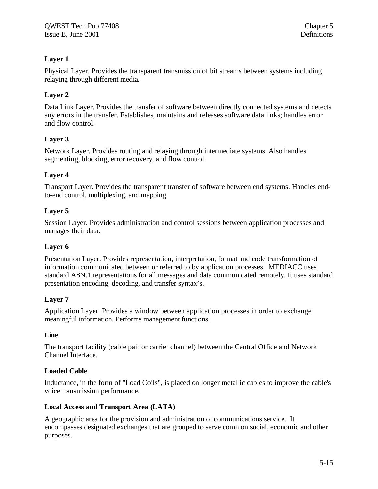# **Layer 1**

Physical Layer. Provides the transparent transmission of bit streams between systems including relaying through different media.

# **Layer 2**

Data Link Layer. Provides the transfer of software between directly connected systems and detects any errors in the transfer. Establishes, maintains and releases software data links; handles error and flow control.

# **Layer 3**

Network Layer. Provides routing and relaying through intermediate systems. Also handles segmenting, blocking, error recovery, and flow control.

### **Layer 4**

Transport Layer. Provides the transparent transfer of software between end systems. Handles endto-end control, multiplexing, and mapping.

# **Layer 5**

Session Layer. Provides administration and control sessions between application processes and manages their data.

### **Layer 6**

Presentation Layer. Provides representation, interpretation, format and code transformation of information communicated between or referred to by application processes. MEDIACC uses standard ASN.1 representations for all messages and data communicated remotely. It uses standard presentation encoding, decoding, and transfer syntax's.

### **Layer 7**

Application Layer. Provides a window between application processes in order to exchange meaningful information. Performs management functions.

### **Line**

The transport facility (cable pair or carrier channel) between the Central Office and Network Channel Interface.

### **Loaded Cable**

Inductance, in the form of "Load Coils", is placed on longer metallic cables to improve the cable's voice transmission performance.

### **Local Access and Transport Area (LATA)**

A geographic area for the provision and administration of communications service. It encompasses designated exchanges that are grouped to serve common social, economic and other purposes.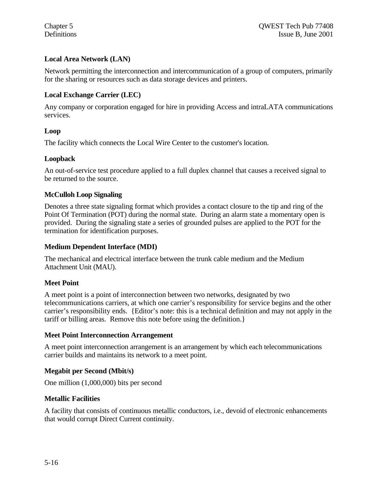### **Local Area Network (LAN)**

Network permitting the interconnection and intercommunication of a group of computers, primarily for the sharing or resources such as data storage devices and printers.

#### **Local Exchange Carrier (LEC)**

Any company or corporation engaged for hire in providing Access and intraLATA communications services.

#### **Loop**

The facility which connects the Local Wire Center to the customer's location.

#### **Loopback**

An out-of-service test procedure applied to a full duplex channel that causes a received signal to be returned to the source.

#### **McCulloh Loop Signaling**

Denotes a three state signaling format which provides a contact closure to the tip and ring of the Point Of Termination (POT) during the normal state. During an alarm state a momentary open is provided. During the signaling state a series of grounded pulses are applied to the POT for the termination for identification purposes.

#### **Medium Dependent Interface (MDI)**

The mechanical and electrical interface between the trunk cable medium and the Medium Attachment Unit (MAU).

#### **Meet Point**

A meet point is a point of interconnection between two networks, designated by two telecommunications carriers, at which one carrier's responsibility for service begins and the other carrier's responsibility ends. {Editor's note: this is a technical definition and may not apply in the tariff or billing areas. Remove this note before using the definition.}

#### **Meet Point Interconnection Arrangement**

A meet point interconnection arrangement is an arrangement by which each telecommunications carrier builds and maintains its network to a meet point.

#### **Megabit per Second (Mbit/s)**

One million (1,000,000) bits per second

#### **Metallic Facilities**

A facility that consists of continuous metallic conductors, i.e., devoid of electronic enhancements that would corrupt Direct Current continuity.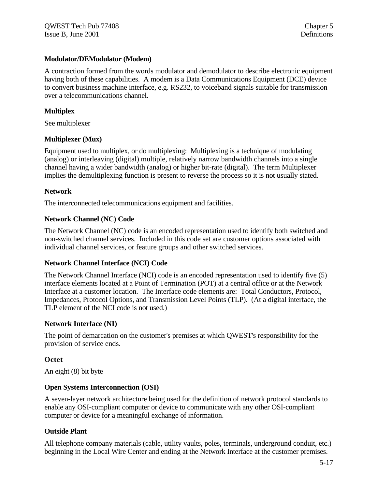#### **Modulator/DEModulator (Modem)**

A contraction formed from the words modulator and demodulator to describe electronic equipment having both of these capabilities. A modem is a Data Communications Equipment (DCE) device to convert business machine interface, e.g. RS232, to voiceband signals suitable for transmission over a telecommunications channel.

#### **Multiplex**

See multiplexer

#### **Multiplexer (Mux)**

Equipment used to multiplex, or do multiplexing: Multiplexing is a technique of modulating (analog) or interleaving (digital) multiple, relatively narrow bandwidth channels into a single channel having a wider bandwidth (analog) or higher bit-rate (digital). The term Multiplexer implies the demultiplexing function is present to reverse the process so it is not usually stated.

#### **Network**

The interconnected telecommunications equipment and facilities.

#### **Network Channel (NC) Code**

The Network Channel (NC) code is an encoded representation used to identify both switched and non-switched channel services. Included in this code set are customer options associated with individual channel services, or feature groups and other switched services.

#### **Network Channel Interface (NCI) Code**

The Network Channel Interface (NCI) code is an encoded representation used to identify five (5) interface elements located at a Point of Termination (POT) at a central office or at the Network Interface at a customer location. The Interface code elements are: Total Conductors, Protocol, Impedances, Protocol Options, and Transmission Level Points (TLP). (At a digital interface, the TLP element of the NCI code is not used.)

#### **Network Interface (NI)**

The point of demarcation on the customer's premises at which QWEST's responsibility for the provision of service ends.

### **Octet**

An eight (8) bit byte

#### **Open Systems Interconnection (OSI)**

A seven-layer network architecture being used for the definition of network protocol standards to enable any OSI-compliant computer or device to communicate with any other OSI-compliant computer or device for a meaningful exchange of information.

### **Outside Plant**

All telephone company materials (cable, utility vaults, poles, terminals, underground conduit, etc.) beginning in the Local Wire Center and ending at the Network Interface at the customer premises.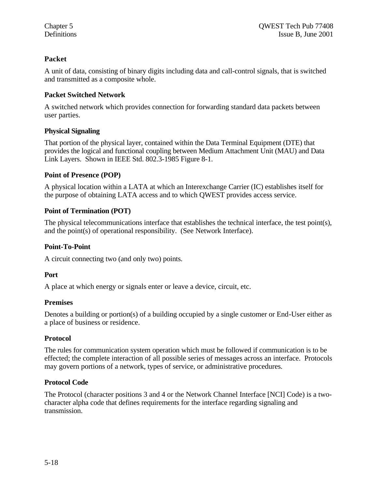# **Packet**

A unit of data, consisting of binary digits including data and call-control signals, that is switched and transmitted as a composite whole.

# **Packet Switched Network**

A switched network which provides connection for forwarding standard data packets between user parties.

# **Physical Signaling**

That portion of the physical layer, contained within the Data Terminal Equipment (DTE) that provides the logical and functional coupling between Medium Attachment Unit (MAU) and Data Link Layers. Shown in IEEE Std. 802.3-1985 Figure 8-1.

# **Point of Presence (POP)**

A physical location within a LATA at which an Interexchange Carrier (IC) establishes itself for the purpose of obtaining LATA access and to which QWEST provides access service.

# **Point of Termination (POT)**

The physical telecommunications interface that establishes the technical interface, the test point(s), and the point(s) of operational responsibility. (See Network Interface).

# **Point-To-Point**

A circuit connecting two (and only two) points.

### **Port**

A place at which energy or signals enter or leave a device, circuit, etc.

### **Premises**

Denotes a building or portion(s) of a building occupied by a single customer or End-User either as a place of business or residence.

### **Protocol**

The rules for communication system operation which must be followed if communication is to be effected; the complete interaction of all possible series of messages across an interface. Protocols may govern portions of a network, types of service, or administrative procedures.

# **Protocol Code**

The Protocol (character positions 3 and 4 or the Network Channel Interface [NCI] Code) is a twocharacter alpha code that defines requirements for the interface regarding signaling and transmission.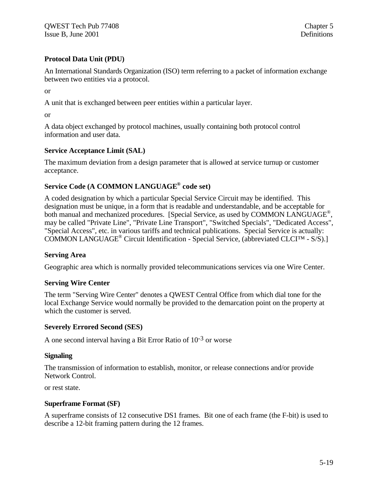# **Protocol Data Unit (PDU)**

An International Standards Organization (ISO) term referring to a packet of information exchange between two entities via a protocol.

or

A unit that is exchanged between peer entities within a particular layer.

or

A data object exchanged by protocol machines, usually containing both protocol control information and user data.

#### **Service Acceptance Limit (SAL)**

The maximum deviation from a design parameter that is allowed at service turnup or customer acceptance.

# **Service Code (A COMMON LANGUAGE® code set)**

A coded designation by which a particular Special Service Circuit may be identified. This designation must be unique, in a form that is readable and understandable, and be acceptable for both manual and mechanized procedures. [Special Service, as used by COMMON LANGUAGE®, may be called "Private Line", "Private Line Transport", "Switched Specials", "Dedicated Access", "Special Access", etc. in various tariffs and technical publications. Special Service is actually: COMMON LANGUAGE<sup>®</sup> Circuit Identification - Special Service, (abbreviated CLCI™ - S/S).]

### **Serving Area**

Geographic area which is normally provided telecommunications services via one Wire Center.

#### **Serving Wire Center**

The term "Serving Wire Center" denotes a QWEST Central Office from which dial tone for the local Exchange Service would normally be provided to the demarcation point on the property at which the customer is served.

#### **Severely Errored Second (SES)**

A one second interval having a Bit Error Ratio of 10-3 or worse

#### **Signaling**

The transmission of information to establish, monitor, or release connections and/or provide Network Control.

or rest state.

### **Superframe Format (SF)**

A superframe consists of 12 consecutive DS1 frames. Bit one of each frame (the F-bit) is used to describe a 12-bit framing pattern during the 12 frames.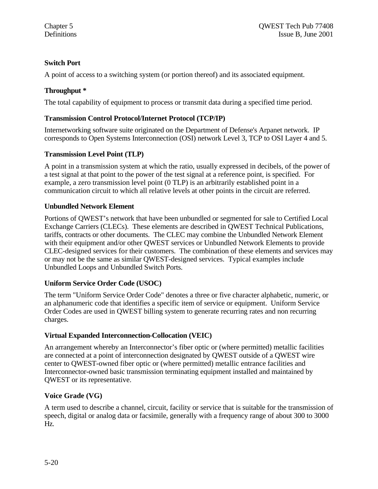# **Switch Port**

A point of access to a switching system (or portion thereof) and its associated equipment.

# **Throughput \***

The total capability of equipment to process or transmit data during a specified time period.

### **Transmission Control Protocol/Internet Protocol (TCP/IP)**

Internetworking software suite originated on the Department of Defense's Arpanet network. IP corresponds to Open Systems Interconnection (OSI) network Level 3, TCP to OSI Layer 4 and 5.

#### **Transmission Level Point (TLP)**

A point in a transmission system at which the ratio, usually expressed in decibels, of the power of a test signal at that point to the power of the test signal at a reference point, is specified. For example, a zero transmission level point (0 TLP) is an arbitrarily established point in a communication circuit to which all relative levels at other points in the circuit are referred.

#### **Unbundled Network Element**

Portions of QWEST's network that have been unbundled or segmented for sale to Certified Local Exchange Carriers (CLECs). These elements are described in QWEST Technical Publications, tariffs, contracts or other documents. The CLEC may combine the Unbundled Network Element with their equipment and/or other QWEST services or Unbundled Network Elements to provide CLEC-designed services for their customers. The combination of these elements and services may or may not be the same as similar QWEST-designed services. Typical examples include Unbundled Loops and Unbundled Switch Ports.

### **Uniform Service Order Code (USOC)**

The term "Uniform Service Order Code" denotes a three or five character alphabetic, numeric, or an alphanumeric code that identifies a specific item of service or equipment. Uniform Service Order Codes are used in QWEST billing system to generate recurring rates and non recurring charges.

### **Virtual Expanded Interconnection-Collocation (VEIC)**

An arrangement whereby an Interconnector's fiber optic or (where permitted) metallic facilities are connected at a point of interconnection designated by QWEST outside of a QWEST wire center to QWEST-owned fiber optic or (where permitted) metallic entrance facilities and Interconnector-owned basic transmission terminating equipment installed and maintained by QWEST or its representative.

### **Voice Grade (VG)**

A term used to describe a channel, circuit, facility or service that is suitable for the transmission of speech, digital or analog data or facsimile, generally with a frequency range of about 300 to 3000 Hz.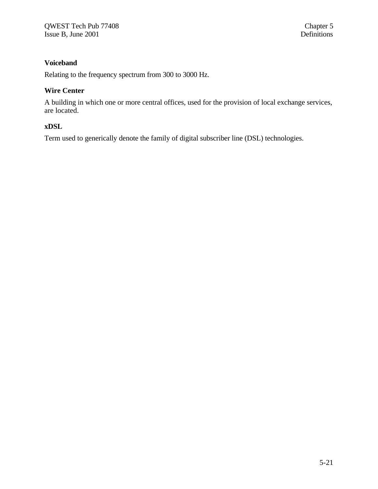# **Voiceband**

Relating to the frequency spectrum from 300 to 3000 Hz.

#### **Wire Center**

A building in which one or more central offices, used for the provision of local exchange services, are located.

### **xDSL**

Term used to generically denote the family of digital subscriber line (DSL) technologies.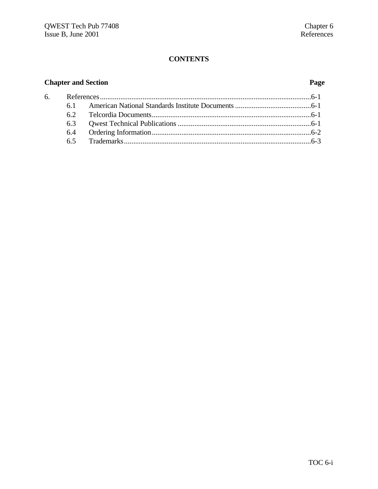# **CONTENTS**

# **Chapter and Section Page**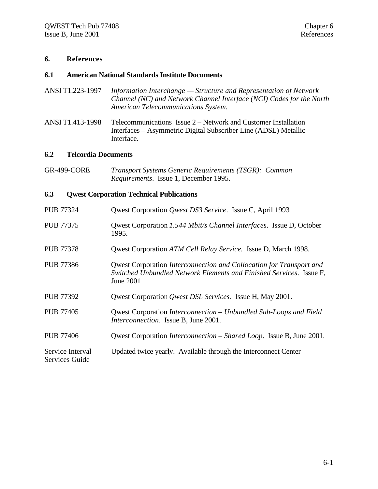#### **6. References**

#### **6.1 American National Standards Institute Documents**

- ANSI T1.223-1997 *Information Interchange Structure and Representation of Network Channel (NC) and Network Channel Interface (NCI) Codes for the North American Telecommunications System.*
- ANSI T1.413-1998 Telecommunications Issue 2 Network and Customer Installation Interfaces – Asymmetric Digital Subscriber Line (ADSL) Metallic Interface.

#### **6.2 Telcordia Documents**

GR-499-CORE *Transport Systems Generic Requirements (TSGR): Common Requirements*. Issue 1, December 1995.

#### **6.3 Qwest Corporation Technical Publications**

| <b>PUB 77324</b>                          | Qwest Corporation Qwest DS3 Service. Issue C, April 1993                                                                                                |
|-------------------------------------------|---------------------------------------------------------------------------------------------------------------------------------------------------------|
| <b>PUB 77375</b>                          | Qwest Corporation 1.544 Mbit/s Channel Interfaces. Issue D, October<br>1995.                                                                            |
| <b>PUB 77378</b>                          | Qwest Corporation ATM Cell Relay Service. Issue D, March 1998.                                                                                          |
| <b>PUB 77386</b>                          | Qwest Corporation Interconnection and Collocation for Transport and<br>Switched Unbundled Network Elements and Finished Services. Issue F,<br>June 2001 |
| <b>PUB 77392</b>                          | Qwest Corporation <i>Qwest DSL Services</i> . Issue H, May 2001.                                                                                        |
| <b>PUB 77405</b>                          | Qwest Corporation Interconnection – Unbundled Sub-Loops and Field<br><i>Interconnection.</i> Issue B, June 2001.                                        |
| <b>PUB 77406</b>                          | Qwest Corporation <i>Interconnection</i> – <i>Shared Loop.</i> Issue B, June 2001.                                                                      |
| Service Interval<br><b>Services Guide</b> | Updated twice yearly. Available through the Interconnect Center                                                                                         |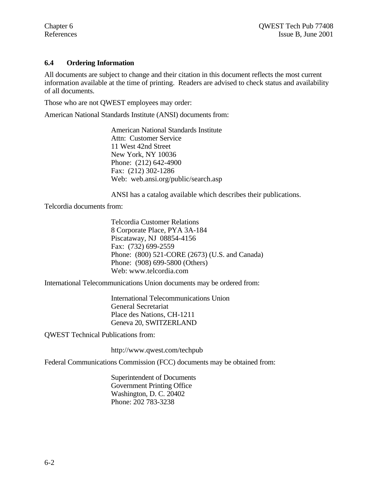#### **6.4 Ordering Information**

All documents are subject to change and their citation in this document reflects the most current information available at the time of printing. Readers are advised to check status and availability of all documents.

Those who are not QWEST employees may order:

American National Standards Institute (ANSI) documents from:

American National Standards Institute Attn: Customer Service 11 West 42nd Street New York, NY 10036 Phone: (212) 642-4900 Fax: (212) 302-1286 Web: web.ansi.org/public/search.asp

ANSI has a catalog available which describes their publications.

Telcordia documents from:

Telcordia Customer Relations 8 Corporate Place, PYA 3A-184 Piscataway, NJ 08854-4156 Fax: (732) 699-2559 Phone: (800) 521-CORE (2673) (U.S. and Canada) Phone: (908) 699-5800 (Others) Web: www.telcordia.com

International Telecommunications Union documents may be ordered from:

International Telecommunications Union General Secretariat Place des Nations, CH-1211 Geneva 20, SWITZERLAND

QWEST Technical Publications from:

http://www.qwest.com/techpub

Federal Communications Commission (FCC) documents may be obtained from:

Superintendent of Documents Government Printing Office Washington, D. C. 20402 Phone: 202 783-3238